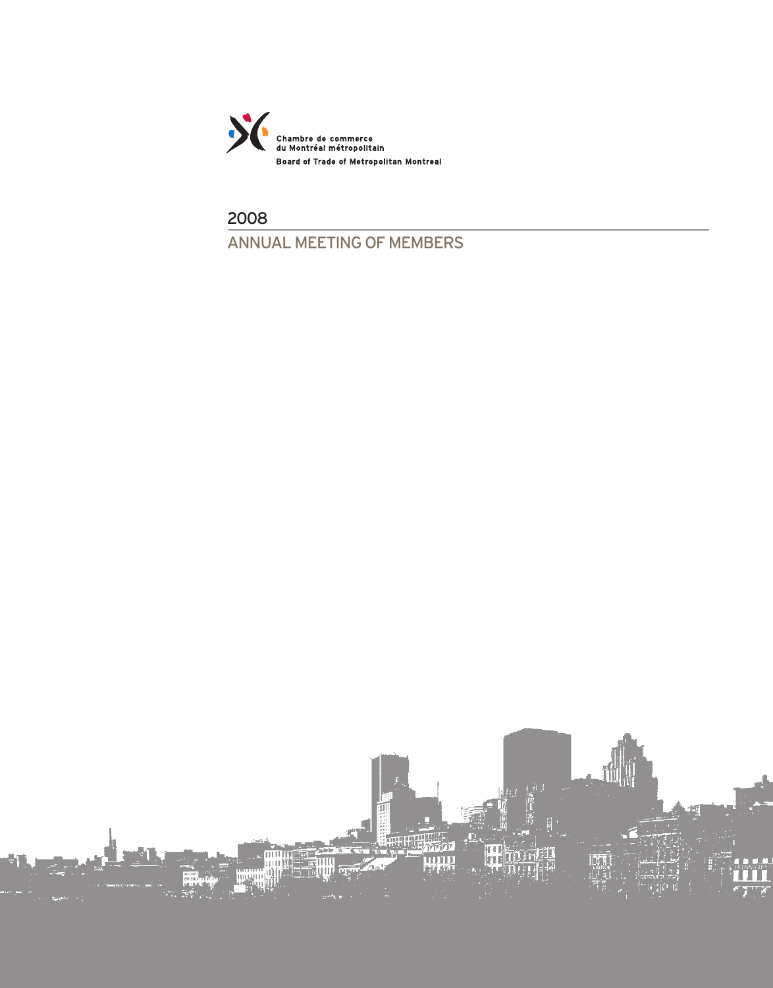

2008 ANNUAL MEETING OF MEMBERS

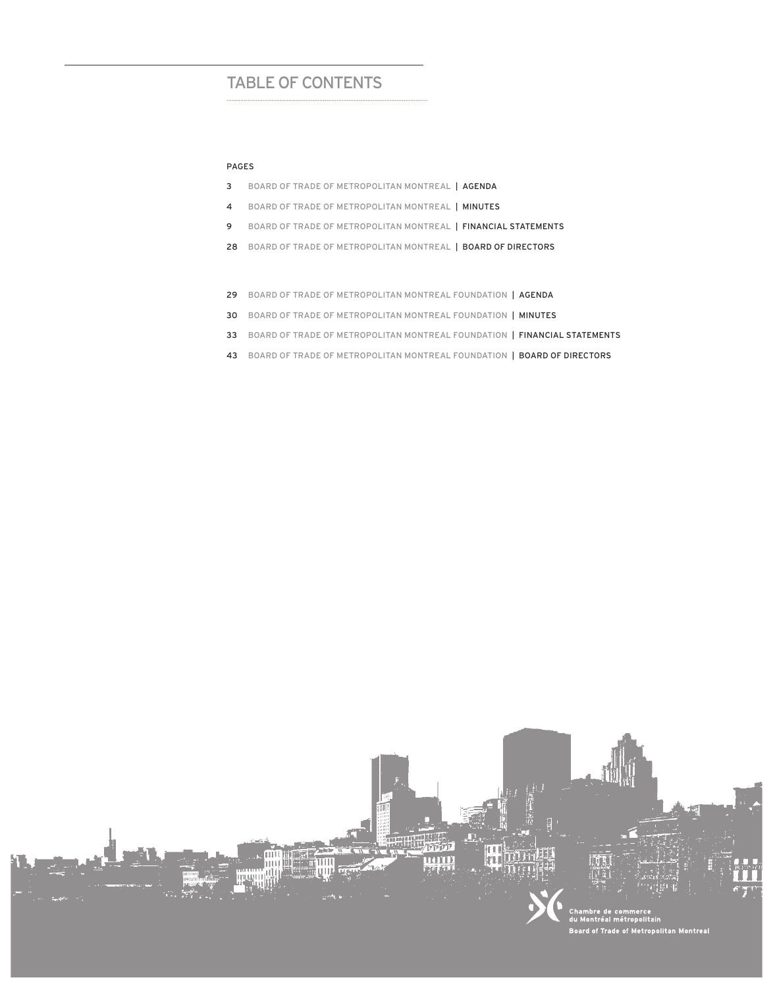## Table of contents

#### Pages

- 3 BOARD OF TRADE OF METROPOLITAN MONTREAL | agenda
- 4 BOARD OF TRADE OF METROPOLITAN MONTREAL | MINUTES
- 9 BOARD OF TRADE OF METROPOLITAN MONTREAL | FINANCIAL STATEMENTS
- 28 BOARD OF TRADE OF METROPOLITAN MONTREAL | BOARD OF DIRECTORS
- 29 BOARD OF TRADE OF METROPOLITAN MONTREAL FOUNDATION | AGENDA
- 30 BOARD OF TRADE OF METROPOLITAN MONTREAL FOUNDATION | MINUTES
- 33 BOARD OF TRADE OF METROPOLITAN MONTREAL FOUNDATION | FINANCIAL STATEMENTS
- 43 BOARD OF TRADE OF METROPOLITAN MONTREAL FOUNDATION | BOARD OF DIRECTORS

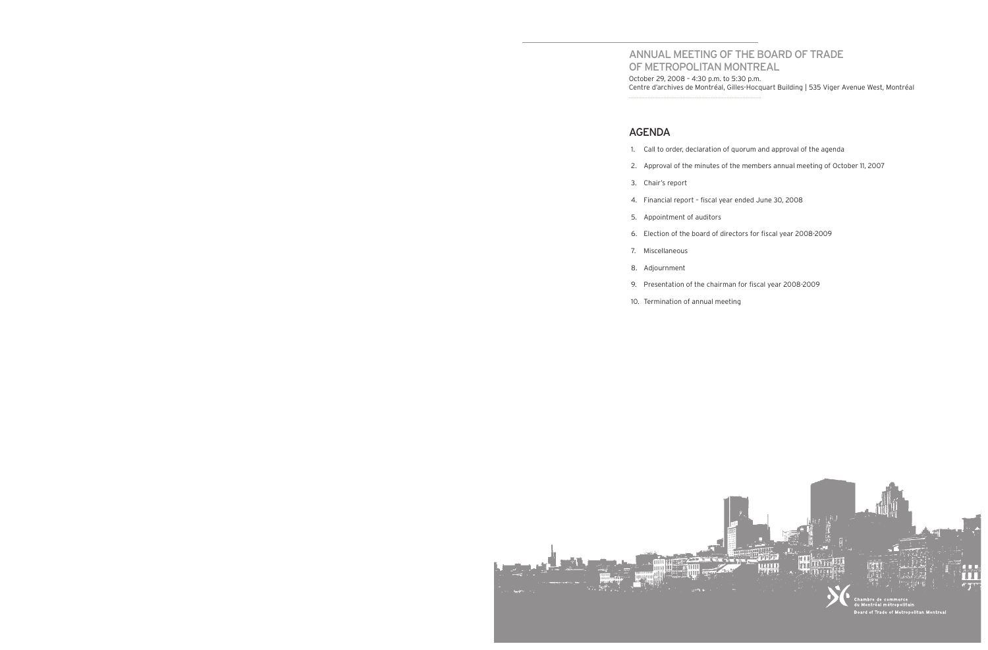# Annual meeting of the Board of Trade

of metropolitan montreal October 29, 2008 – 4:30 p.m. to 5:30 p.m.

Centre d'archives de Montréal, Gilles-Hocquart Building | 535 Viger Avenue West, Montréal .....................................................................................................................

## Agenda

1. Call to order, declaration of quorum and approval of the agenda

2. Approval of the minutes of the members annual meeting of October 11, 2007

4. Financial report – fiscal year ended June 30, 2008

6. Election of the board of directors for fiscal year 2008-2009

- 
- 
- 3. Chair's report
- 
- 5. Appointment of auditors
- 
- 7. Miscellaneous
- 8. Adjournment
- 
- 10. Termination of annual meeting



9. Presentation of the chairman for fiscal year 2008-2009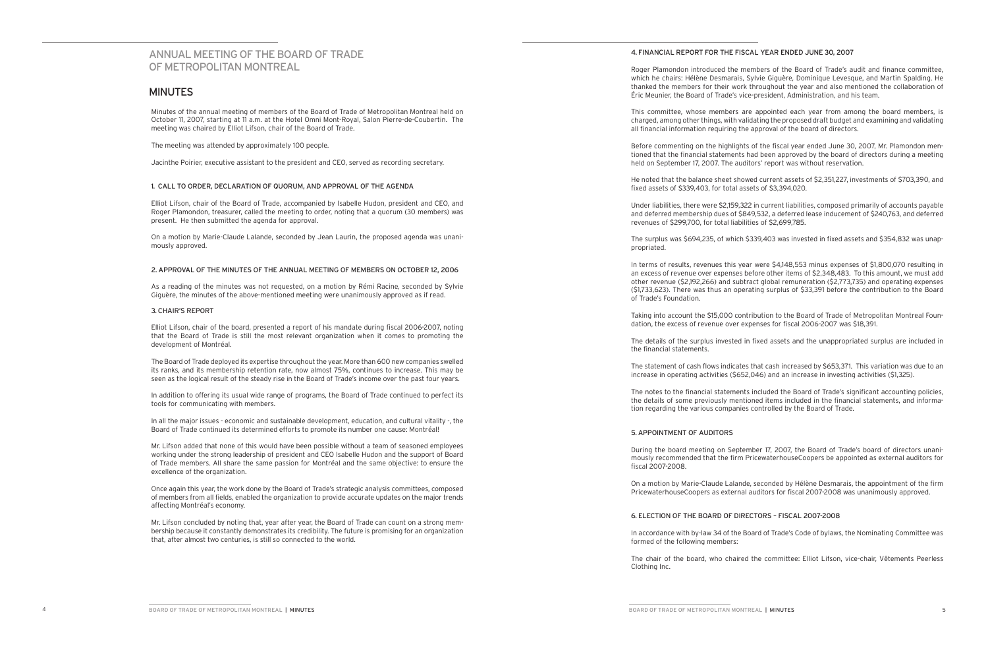## ANNUAL MEETING OF The Board of Trade of MeTROPOLITAN MONTREAL

### **MINUTES**

Minutes of the annual meeting of members of the Board of Trade of Metropolitan Montreal held on October 11, 2007, starting at 11 a.m. at the Hotel Omni Mont-Royal, Salon Pierre-de-Coubertin. The meeting was chaired by Elliot Lifson, chair of the Board of Trade.

The meeting was attended by approximately 100 people.

Jacinthe Poirier, executive assistant to the president and CEO, served as recording secretary.

#### 1. CALL TO ORDER, DECLARATION OF QUORUM, AND APPROVAL OF THE AGENDA

Elliot Lifson, chair of the Board of Trade, accompanied by Isabelle Hudon, president and CEO, and Roger Plamondon, treasurer, called the meeting to order, noting that a quorum (30 members) was present. He then submitted the agenda for approval.

On a motion by Marie-Claude Lalande, seconded by Jean Laurin, the proposed agenda was unanimously approved.

#### 2. APPROVAL OF THE MINUTES OF THE ANNUAL MEETING OF MEMBERS ON OCTOBER 12, 2006

As a reading of the minutes was not requested, on a motion by Rémi Racine, seconded by Sylvie Giguère, the minutes of the above-mentioned meeting were unanimously approved as if read.

#### 3. CHAIR'S REPORT

Elliot Lifson, chair of the board, presented a report of his mandate during fiscal 2006-2007, noting that the Board of Trade is still the most relevant organization when it comes to promoting the development of Montréal.

The Board of Trade deployed its expertise throughout the year. More than 600 new companies swelled its ranks, and its membership retention rate, now almost 75%, continues to increase. This may be seen as the logical result of the steady rise in the Board of Trade's income over the past four years.

In addition to offering its usual wide range of programs, the Board of Trade continued to perfect its tools for communicating with members.

In all the major issues - economic and sustainable development, education, and cultural vitality -, the Board of Trade continued its determined efforts to promote its number one cause: Montréal!

Mr. Lifson added that none of this would have been possible without a team of seasoned employees working under the strong leadership of president and CEO Isabelle Hudon and the support of Board of Trade members. All share the same passion for Montréal and the same objective: to ensure the excellence of the organization.

Once again this year, the work done by the Board of Trade's strategic analysis committees, composed of members from all fields, enabled the organization to provide accurate updates on the major trends affecting Montréal's economy.

Mr. Lifson concluded by noting that, year after year, the Board of Trade can count on a strong membership because it constantly demonstrates its credibility. The future is promising for an organization that, after almost two centuries, is still so connected to the world.

#### 4. FINANCIAL REPORT FOR THE FISCAL YEAR ENDED JUNE 30, 2007

Roger Plamondon introduced the members of the Board of Trade's audit and finance committee, which he chairs: Hélène Desmarais, Sylvie Giguère, Dominique Levesque, and Martin Spalding. He thanked the members for their work throughout the year and also mentioned the collaboration of Éric Meunier, the Board of Trade's vice-president, Administration, and his team.

This committee, whose members are appointed each year from among the board members, is charged, among other things, with validating the proposed draft budget and examining and validating all financial information requiring the approval of the board of directors.

Before commenting on the highlights of the fiscal year ended June 30, 2007, Mr. Plamondon mentioned that the financial statements had been approved by the board of directors during a meeting held on September 17, 2007. The auditors' report was without reservation.

He noted that the balance sheet showed current assets of \$2,351,227, investments of \$703,390, and fixed assets of \$339,403, for total assets of \$3,394,020.

Under liabilities, there were \$2,159,322 in current liabilities, composed primarily of accounts payable and deferred membership dues of \$849,532, a deferred lease inducement of \$240,763, and deferred revenues of \$299,700, for total liabilities of \$2,699,785.

The surplus was \$694,235, of which \$339,403 was invested in fixed assets and \$354,832 was unap-

propriated.

In terms of results, revenues this year were \$4,148,553 minus expenses of \$1,800,070 resulting in an excess of revenue over expenses before other items of \$2,348,483. To this amount, we must add other revenue (\$2,192,266) and subtract global remuneration (\$2,773,735) and operating expenses (\$1,733,623). There was thus an operating surplus of \$33,391 before the contribution to the Board

of Trade's Foundation.

Taking into account the \$15,000 contribution to the Board of Trade of Metropolitan Montreal Foundation, the excess of revenue over expenses for fiscal 2006-2007 was \$18,391.

The details of the surplus invested in fixed assets and the unappropriated surplus are included in the financial statements.

The statement of cash flows indicates that cash increased by \$653,371. This variation was due to an increase in operating activities (\$652,046) and an increase in investing activities (\$1,325).

The notes to the financial statements included the Board of Trade's significant accounting policies, the details of some previously mentioned items included in the financial statements, and information regarding the various companies controlled by the Board of Trade.

#### 5. APPOINTMENT OF AUDITORS

During the board meeting on September 17, 2007, the Board of Trade's board of directors unanimously recommended that the firm PricewaterhouseCoopers be appointed as external auditors for fiscal 2007-2008.

On a motion by Marie-Claude Lalande, seconded by Hélène Desmarais, the appointment of the firm PricewaterhouseCoopers as external auditors for fiscal 2007-2008 was unanimously approved.

### 6. ELECTION OF THE BOARD OF DIRECTORS – FISCAL 2007-2008

In accordance with by-law 34 of the Board of Trade's Code of bylaws, the Nominating Committee was

formed of the following members:

The chair of the board, who chaired the committee: Elliot Lifson, vice-chair, Vêtements Peerless

Clothing Inc.

BOARD OF TRADE OF METROPOLITAN MONTREAL | MINUTES 5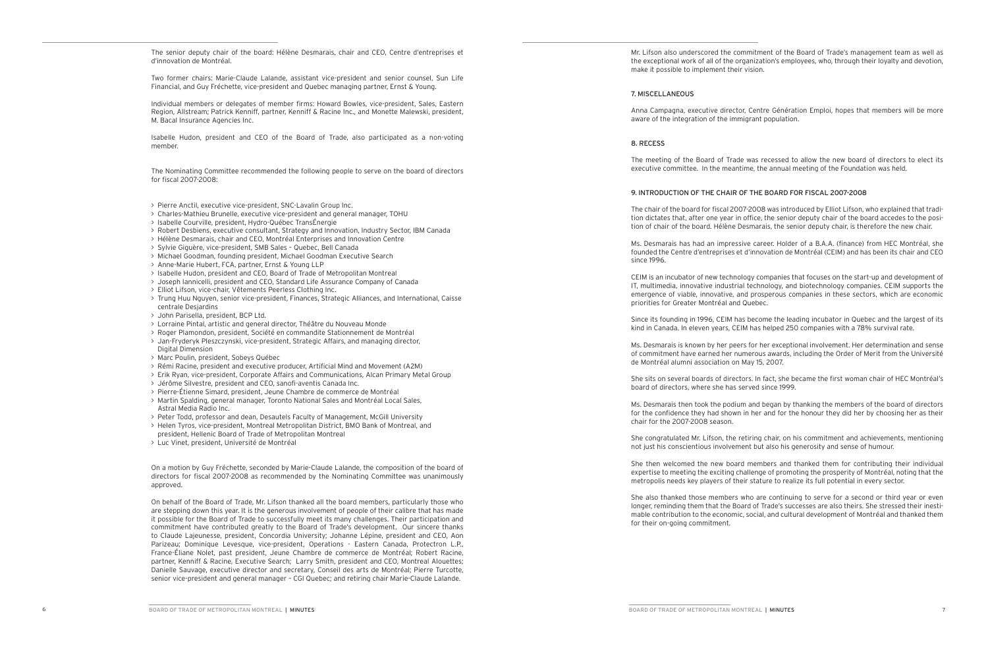The senior deputy chair of the board: Hélène Desmarais, chair and CEO, Centre d'entreprises et d'innovation de Montréal.

Two former chairs: Marie-Claude Lalande, assistant vice-president and senior counsel, Sun Life Financial, and Guy Fréchette, vice-president and Quebec managing partner, Ernst & Young.

Individual members or delegates of member firms: Howard Bowles, vice-president, Sales, Eastern Region, Allstream; Patrick Kenniff, partner, Kenniff & Racine Inc., and Monette Malewski, president, M. Bacal Insurance Agencies Inc.

Isabelle Hudon, president and CEO of the Board of Trade, also participated as a non-voting member.

The Nominating Committee recommended the following people to serve on the board of directors for fiscal 2007-2008:

- > Pierre Anctil, executive vice-president, SNC-Lavalin Group Inc.
- > Charles-Mathieu Brunelle, executive vice-president and general manager, TOHU
- > Isabelle Courville, president, Hydro-Québec TransÉnergie
- > Robert Desbiens, executive consultant, Strategy and Innovation, Industry Sector, IBM Canada
- > Hélène Desmarais, chair and CEO, Montréal Enterprises and Innovation Centre
- > Sylvie Giguère, vice-president, SMB Sales Quebec, Bell Canada
- > Michael Goodman, founding president, Michael Goodman Executive Search
- > Anne-Marie Hubert, FCA, partner, Ernst & Young LLP
- > Isabelle Hudon, president and CEO, Board of Trade of Metropolitan Montreal
- > Joseph Iannicelli, president and CEO, Standard Life Assurance Company of Canada
- > Elliot Lifson, vice-chair, Vêtements Peerless Clothing Inc.
- > Trung Huu Nguyen, senior vice-president, Finances, Strategic Alliances, and International, Caisse centrale Desjardins
- > John Parisella, president, BCP Ltd.
- > Lorraine Pintal, artistic and general director, Théâtre du Nouveau Monde
- > Roger Plamondon, president, Société en commandite Stationnement de Montréal
- > Jan-Fryderyk Pleszczynski, vice-president, Strategic Affairs, and managing director, Digital Dimension
- > Marc Poulin, president, Sobeys Québec
- > Rémi Racine, president and executive producer, Artificial Mind and Movement (A2M)
- > Erik Ryan, vice-president, Corporate Affairs and Communications, Alcan Primary Metal Group
- > Jérôme Silvestre, president and CEO, sanofi-aventis Canada Inc.
- > Pierre-Étienne Simard, president, Jeune Chambre de commerce de Montréal
- > Martin Spalding, general manager, Toronto National Sales and Montréal Local Sales, Astral Media Radio Inc.
- > Peter Todd, professor and dean, Desautels Faculty of Management, McGill University
- > Helen Tyros, vice-president, Montreal Metropolitan District, BMO Bank of Montreal, and president, Hellenic Board of Trade of Metropolitan Montreal
- > Luc Vinet, president, Université de Montréal

On a motion by Guy Fréchette, seconded by Marie-Claude Lalande, the composition of the board of directors for fiscal 2007-2008 as recommended by the Nominating Committee was unanimously approved.

On behalf of the Board of Trade, Mr. Lifson thanked all the board members, particularly those who are stepping down this year. It is the generous involvement of people of their calibre that has made it possible for the Board of Trade to successfully meet its many challenges. Their participation and commitment have contributed greatly to the Board of Trade's development. Our sincere thanks to Claude Lajeunesse, president, Concordia University; Johanne Lépine, president and CEO, Aon Parizeau; Dominique Levesque, vice-president, Operations - Eastern Canada, Protectron L.P., France-Éliane Nolet, past president, Jeune Chambre de commerce de Montréal; Robert Racine, partner, Kenniff & Racine, Executive Search; Larry Smith, president and CEO, Montreal Alouettes; Danielle Sauvage, executive director and secretary, Conseil des arts de Montréal; Pierre Turcotte, senior vice-president and general manager – CGI Quebec; and retiring chair Marie-Claude Lalande.

Mr. Lifson also underscored the commitment of the Board of Trade's management team as well as the exceptional work of all of the organization's employees, who, through their loyalty and devotion, make it possible to implement their vision.

#### 7. MISCELLANEO U S

Anna Campagna, executive director, Centre Génération Emploi, hopes that members will be more aware of the integration of the immigrant population.

#### 8. RECESS

The meeting of the Board of Trade was recessed to allow the new board of directors to elect its executive committee. In the meantime, the annual meeting of the Foundation was held.

#### 9. I NTR ODU CTION OF THE CHAIR OF THE BOARD FOR F ISCAL 2007-2008

The chair of the board for fiscal 2007-2008 was introduced by Elliot Lifson, who explained that tradi tion dictates that, after one year in office, the senior deputy chair of the board accedes to the posi tion of chair of the board. Hélène Desmarais, the senior deputy chair, is therefore the new chair.

Ms. Desmarais has had an impressive career. Holder of a B.A.A. (finance) from HEC Montréal, she founded the Centre d'entreprises et d'innovation de Montréal (CEIM) and has been its chair and CEO

since 1996.

CEIM is an incubator of new technology companies that focuses on the start-up and development of IT, multimedia, innovative industrial technology, and biotechnology companies. CEIM supports the emergence of viable, innovative, and prosperous companies in these sectors, which are economic

priorities for Greater Montréal and Quebec.

Since its founding in 1996, CEIM has become the leading incubator in Quebec and the largest of its kind in Canada. In eleven years, CEIM has helped 250 companies with a 78% survival rate.

Ms. Desmarais is known by her peers for her exceptional involvement. Her determination and sense of commitment have earned her numerous awards, including the Order of Merit from the Université de Montréal alumni association on May 15, 2007.

She sits on several boards of directors. In fact, she became the first woman chair of HEC Montréal's board of directors, where she has served since 1999.

Ms. Desmarais then took the podium and began by thanking the members of the board of directors for the confidence they had shown in her and for the honour they did her by choosing her as their chair for the 2007-2008 season.

She congratulated Mr. Lifson, the retiring chair, on his commitment and achievements, mentioning not just his conscientious involvement but also his generosity and sense of humour.

She then welcomed the new board members and thanked them for contributing their individual expertise to meeting the exciting challenge of promoting the prosperity of Montréal, noting that the metropolis needs key players of their stature to realize its full potential in every sector.

She also thanked those members who are continuing to serve for a second or third year or even longer, reminding them that the Board of Trade's successes are also theirs. She stressed their inesti mable contribution to the economic, social, and cultural development of Montréal and thanked them for their on-going commitment.

BOARD OF TRADE OF METROPOLITAN MONTREAL | MINUTES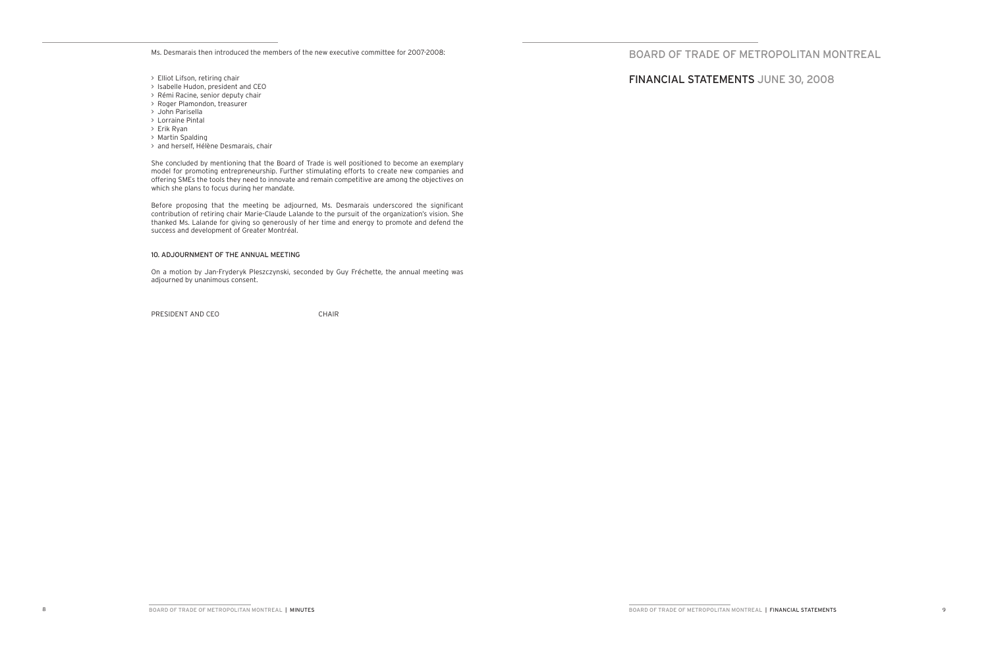Ms. Desmarais then introduced the members of the new executive committee for 2007-2008:

- > Elliot Lifson, retiring chair
- > Isabelle Hudon, president and CEO
- > Rémi Racine, senior deputy chair
- > Roger Plamondon, treasurer
- > John Parisella
- > Lorraine Pintal
- > Erik Ryan
- > Martin Spalding
- > and herself, Hélène Desmarais, chair

Before proposing that the meeting be adjourned, Ms. Desmarais underscored the significant contribution of retiring chair Marie-Claude Lalande to the pursuit of the organization's vision. She thanked Ms. Lalande for giving so generously of her time and energy to promote and defend the success and development of Greater Montréal.

She concluded by mentioning that the Board of Trade is well positioned to become an exemplary model for promoting entrepreneurship. Further stimulating efforts to create new companies and offering SMEs the tools they need to innovate and remain competitive are among the objectives on which she plans to focus during her mandate.

#### 10. ADJOURNMENT OF THE ANNUAL MEETING

On a motion by Jan-Fryderyk Pleszczynski, seconded by Guy Fréchette, the annual meeting was adjourned by unanimous consent.

PRESIDENT AND CEO CHAIR

BOARD OF TRADE OF METROPOLITAN MONTREAL

financIAL STATEMENTS June 30, 2008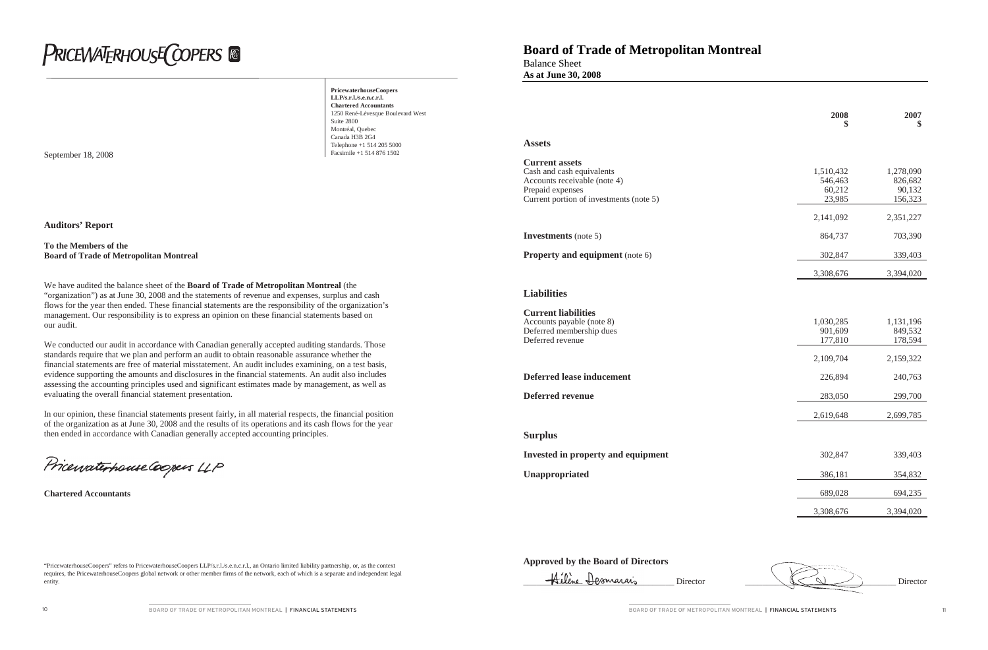"PricewaterhouseCoopers" refers to PricewaterhouseCoopers LLP/s.r.l./s.e.n.c.r.l., an Ontario limited liability partnership, or, as the context

requires, the PricewaterhouseCoopers global network or other member firms of the network, each of which is a separate and independent legal

entity.

# **PRICEWATERHOUSE COPERS**

**PricewaterhouseCoopers LLP/s.r.l./s.e.n.c.r.l. Chartered Accountants** 1250 René-Lévesque Boulevard West Suite 2800 Montréal, Quebec Canada H3B 2G4 Telephone +1 514 205 5000

**September 18, 2008** Facsimile +1 514 876 1502

**Auditors' Report**

#### **To the Members of the Board of Trade of Metropolitan Montreal**

We have audited the balance sheet of the **Board of Trade of Metropolitan Montreal** (the "organization") as at June 30, 2008 and the statements of revenue and expenses, surplus and cash flows for the year then ended. These financial statements are the responsibility of the organization's management. Our responsibility is to express an opinion on these financial statements based on our audit.

**Current assets** Cash and cash equivalents Accounts receivable (note  $4$ ) Prepaid expenses Current portion of investments (note 5)

#### **Investments** (note 5)

#### **Property and equipment** (note 6)

**Current liabilities** Accounts payable (note 8) Deferred membership dues Deferred revenue

#### **Deferred lease inducement**

**Deferred revenue** 

We conducted our audit in accordance with Canadian generally accepted auditing standards. Those standards require that we plan and perform an audit to obtain reasonable assurance whether the financial statements are free of material misstatement. An audit includes examining, on a test basis, evidence supporting the amounts and disclosures in the financial statements. An audit also includes assessing the accounting principles used and significant estimates made by management, as well as evaluating the overall financial statement presentation.

In our opinion, these financial statements present fairly, in all material respects, the financial position of the organization as at June 30, 2008 and the results of its operations and its cash flows for the year then ended in accordance with Canadian generally accepted accounting principles.

Pricewaterhouse Coopers LLP

**Chartered Accountants**

## **Board of Trade of Metropolitan Montreal**

Balance Sheet **As at June 30, 2008**

## **Approved by the Board of Directors**



BOARD OF TRADE OF METROPOLITAN MONTREAL | FINANCIAL STATEMENTS | 11

#### **Assets**

| 2008      | 2007      |
|-----------|-----------|
| \$        | \$        |
| 1,510,432 | 1,278,090 |
| 546,463   | 826,682   |
| 60,212    | 90,132    |
| 23,985    | 156,323   |
| 2,141,092 | 2,351,227 |
| 864,737   | 703,390   |
| 302,847   | 339,403   |
| 3,308,676 | 3,394,020 |
| 1,030,285 | 1,131,196 |
| 901,609   | 849,532   |
| 177,810   | 178,594   |
| 2,109,704 | 2,159,322 |
| 226,894   | 240,763   |
| 283,050   | 299,700   |
| 2,619,648 | 2,699,785 |

#### **Liabilities**

#### **Surplus**

**Invested in property and equipment** 

**Unappropriated** 

| 302,847   | 339,403   |
|-----------|-----------|
| 386,181   | 354,832   |
| 689,028   | 694,235   |
| 3,308,676 | 3,394,020 |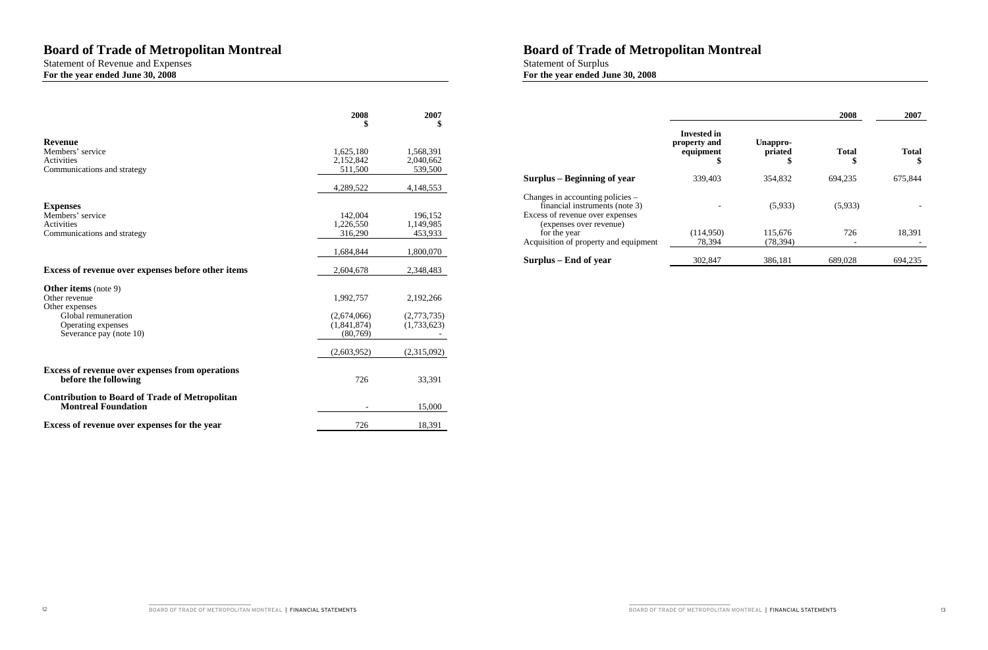## **Board of Trade of Metropolitan Montreal**

Statement of Revenue and Expenses **For the year ended June 30, 2008**

|                                                                                     | 2008        | 2007<br>\$  |
|-------------------------------------------------------------------------------------|-------------|-------------|
| <b>Revenue</b>                                                                      |             |             |
| Members' service                                                                    | 1,625,180   | 1,568,391   |
| Activities                                                                          | 2,152,842   | 2,040,662   |
| Communications and strategy                                                         | 511,500     | 539,500     |
|                                                                                     | 4,289,522   | 4,148,553   |
| <b>Expenses</b>                                                                     |             |             |
| Members' service                                                                    | 142,004     | 196,152     |
| <b>Activities</b>                                                                   | 1,226,550   | 1,149,985   |
| Communications and strategy                                                         | 316,290     | 453,933     |
|                                                                                     | 1,684,844   | 1,800,070   |
| Excess of revenue over expenses before other items                                  | 2,604,678   | 2,348,483   |
| <b>Other items</b> (note 9)                                                         |             |             |
| Other revenue                                                                       | 1,992,757   | 2,192,266   |
| Other expenses                                                                      |             |             |
| Global remuneration                                                                 | (2,674,066) | (2,773,735) |
| Operating expenses                                                                  | (1,841,874) | (1,733,623) |
| Severance pay (note 10)                                                             | (80,769)    |             |
|                                                                                     | (2,603,952) | (2,315,092) |
| <b>Excess of revenue over expenses from operations</b><br>before the following      | 726         | 33,391      |
|                                                                                     |             |             |
| <b>Contribution to Board of Trade of Metropolitan</b><br><b>Montreal Foundation</b> |             | 15,000      |
| Excess of revenue over expenses for the year                                        | 726         | 18,391      |

Statement of Surplus **For the year ended June 30, 2008**

|                                                                                                       |                                                |                           | 2008               | 2007              |
|-------------------------------------------------------------------------------------------------------|------------------------------------------------|---------------------------|--------------------|-------------------|
|                                                                                                       | Invested in<br>property and<br>equipment<br>\$ | Unappro-<br>priated<br>\$ | <b>Total</b><br>\$ | <b>Total</b><br>S |
| Surplus – Beginning of year                                                                           | 339,403                                        | 354,832                   | 694,235            | 675,844           |
| Changes in accounting policies –<br>financial instruments (note 3)<br>Excess of revenue over expenses |                                                | (5,933)                   | (5,933)            |                   |
| (expenses over revenue)<br>for the year<br>Acquisition of property and equipment                      | (114,950)<br>78,394                            | 115,676<br>(78, 394)      | 726                | 18,391            |
| Surplus – End of year                                                                                 | 302,847                                        | 386,181                   | 689,028            | 694,235           |

BOARD OF TRADE OF METROPOLITAN MONTREAL | FINANCIAL STATEMENTS | 13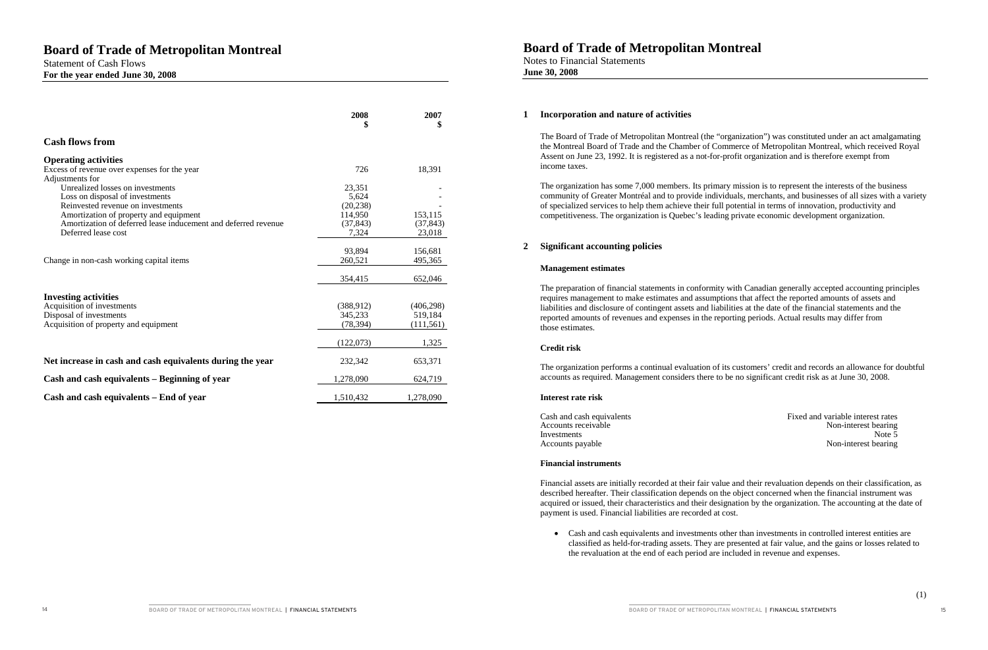Statement of Cash Flows **For the year ended June 30, 2008**

|                                                                | 2008<br>\$        | 2007<br>\$         |
|----------------------------------------------------------------|-------------------|--------------------|
| <b>Cash flows from</b>                                         |                   |                    |
| <b>Operating activities</b>                                    |                   |                    |
| Excess of revenue over expenses for the year                   | 726               | 18,391             |
| Adjustments for<br>Unrealized losses on investments            | 23,351            |                    |
| Loss on disposal of investments                                | 5,624             |                    |
| Reinvested revenue on investments                              | (20, 238)         |                    |
| Amortization of property and equipment                         | 114,950           | 153,115            |
| Amortization of deferred lease inducement and deferred revenue | (37, 843)         | (37, 843)          |
| Deferred lease cost                                            | 7,324             | 23,018             |
|                                                                |                   |                    |
|                                                                | 93,894<br>260,521 | 156,681<br>495,365 |
| Change in non-cash working capital items                       |                   |                    |
|                                                                | 354,415           | 652,046            |
| <b>Investing activities</b>                                    |                   |                    |
| Acquisition of investments                                     | (388, 912)        | (406, 298)         |
| Disposal of investments                                        | 345,233           | 519,184            |
| Acquisition of property and equipment                          | (78, 394)         | (111, 561)         |
|                                                                |                   |                    |
|                                                                | (122,073)         | 1,325              |
| Net increase in cash and cash equivalents during the year      | 232,342           | 653,371            |
| Cash and cash equivalents - Beginning of year                  | 1,278,090         | 624,719            |
| Cash and cash equivalents – End of year                        | 1,510,432         | 1,278,090          |

## **Board of Trade of Metropolitan Montreal**

Notes to Financial Statements **June 30, 2008**

#### **1 Incorporation and nature of activities**

The Board of Trade of Metropolitan Montreal (the "organization") was constituted under an act amalgamating the Montreal Board of Trade and the Chamber of Commerce of Metropolitan Montreal, which received Royal Assent on June 23, 1992. It is registered as a not-for-profit organization and is therefore exempt from income taxes.

• Cash and cash equivalents and investments other than investments in controlled interest entities are classified as held-for-trading assets. They are presented at fair value, and the gains or losses related to

The organization has some 7,000 members. Its primary mission is to represent the interests of the business community of Greater Montréal and to provide individuals, merchants, and businesses of all sizes with a variety of specialized services to help them achieve their full potential in terms of innovation, productivity and competitiveness. The organization is Quebec's leading private economic development organization.

### **2 Significant accounting policies**

#### **Management estimates**

The preparation of financial statements in conformity with Canadian generally accepted accounting principles requires management to make estimates and assumptions that affect the reported amounts of assets and liabilities and disclosure of contingent assets and liabilities at the date of the financial statements and the reported amounts of revenues and expenses in the reporting periods. Actual results may differ from those estimates.

#### **Credit risk**

The organization performs a continual evaluation of its customers' credit and records an allowance for doubtful accounts as required. Management considers there to be no significant credit risk as at June 30, 2008.

#### **Interest rate risk**

#### **Financial instruments**

Financial assets are initially recorded at their fair value and their revaluation depends on their classification, as described hereafter. Their classification depends on the object concerned when the financial instrument was acquired or issued, their characteristics and their designation by the organization. The accounting at the date of payment is used. Financial liabilities are recorded at cost.

the revaluation at the end of each period are included in revenue and expenses.

Cash and cash equivalents Fixed and variable interest rates<br>Accounts receivable Mon-interest bearing Accounts receivable Non-interest bearing<br>Investments Non-interest bearing<br>Note 5 Investments Note 5 Accounts payable Non-interest bearing Non-interest bearing

BOARD OF TRADE OF METROPOLITAN MONTREAL | FINANCIAL STATEMENTS 15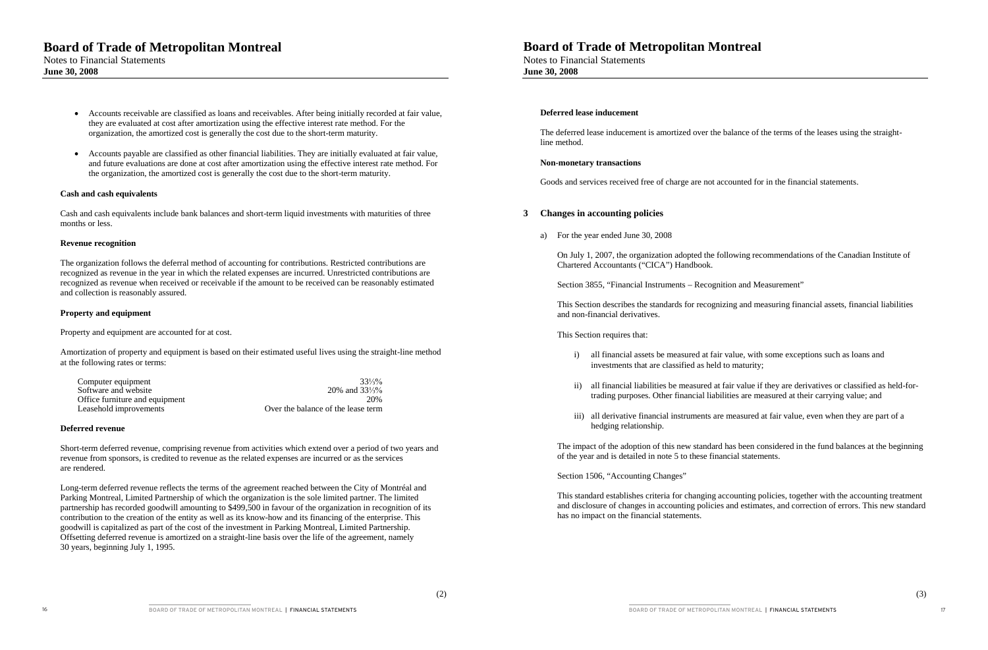## **Board of Trade of Metropolitan Montreal**

Notes to Financial Statements **June 30, 2008**

- Accounts receivable are classified as loans and receivables. After being initially recorded at fair value, they are evaluated at cost after amortization using the effective interest rate method. For the organization, the amortized cost is generally the cost due to the short-term maturity.
- Accounts payable are classified as other financial liabilities. They are initially evaluated at fair value, and future evaluations are done at cost after amortization using the effective interest rate method. For the organization, the amortized cost is generally the cost due to the short-term maturity.

#### **Cash and cash equivalents**

Cash and cash equivalents include bank balances and short-term liquid investments with maturities of three months or less.

#### **Revenue recognition**

The organization follows the deferral method of accounting for contributions. Restricted contributions are recognized as revenue in the year in which the related expenses are incurred. Unrestricted contributions are recognized as revenue when received or receivable if the amount to be received can be reasonably estimated and collection is reasonably assured.

#### **Property and equipment**

Property and equipment are accounted for at cost.

Amortization of property and equipment is based on their estimated useful lives using the straight-line method at the following rates or terms:

| Computer equipment             | $33\frac{1}{3}\%$                  |
|--------------------------------|------------------------------------|
| Software and website           | 20% and $33\frac{1}{3}\%$          |
| Office furniture and equipment | 20%                                |
| Leasehold improvements         | Over the balance of the lease term |

#### **Deferred revenue**

Short-term deferred revenue, comprising revenue from activities which extend over a period of two years and revenue from sponsors, is credited to revenue as the related expenses are incurred or as the services are rendered.

Long-term deferred revenue reflects the terms of the agreement reached between the City of Montréal and Parking Montreal, Limited Partnership of which the organization is the sole limited partner. The limited partnership has recorded goodwill amounting to \$499,500 in favour of the organization in recognition of its contribution to the creation of the entity as well as its know-how and its financing of the enterprise. This goodwill is capitalized as part of the cost of the investment in Parking Montreal, Limited Partnership. Offsetting deferred revenue is amortized on a straight-line basis over the life of the agreement, namely 30 years, beginning July 1, 1995.

## **Board of Trade of Metropolitan Montreal**

Notes to Financial Statements **June 30, 2008**

#### **Deferred lease inducement**

The deferred lease inducement is amortized over the balance of the terms of the leases using the straightline method.

#### **Non-monetary transactions**

Goods and services received free of charge are not accounted for in the financial statements.

#### **3 Changes in accounting policies**

a) For the year ended June 30, 2008

On July 1, 2007, the organization adopted the following recommendations of the Canadian Institute of Chartered Accountants ("CICA") Handbook.

Section 3855, "Financial Instruments – Recognition and Measurement"

This Section describes the standards for recognizing and measuring financial assets, financial liabilities and non-financial derivatives.

#### This Section requires that:

i) all financial assets be measured at fair value, with some exceptions such as loans and

ii) all financial liabilities be measured at fair value if they are derivatives or classified as held-fortrading purposes. Other financial liabilities are measured at their carrying value; and

- investments that are classified as held to maturity;
- 
- hedging relationship.

iii) all derivative financial instruments are measured at fair value, even when they are part of a

The impact of the adoption of this new standard has been considered in the fund balances at the beginning of the year and is detailed in note 5 to these financial statements.

Section 1506, "Accounting Changes"

This standard establishes criteria for changing accounting policies, together with the accounting treatment and disclosure of changes in accounting policies and estimates, and correction of errors. This new standard has no impact on the financial statements.

BOARD OF TRADE OF METROPOLITAN MONTREAL | FINANCIAL STATEMENTS | 17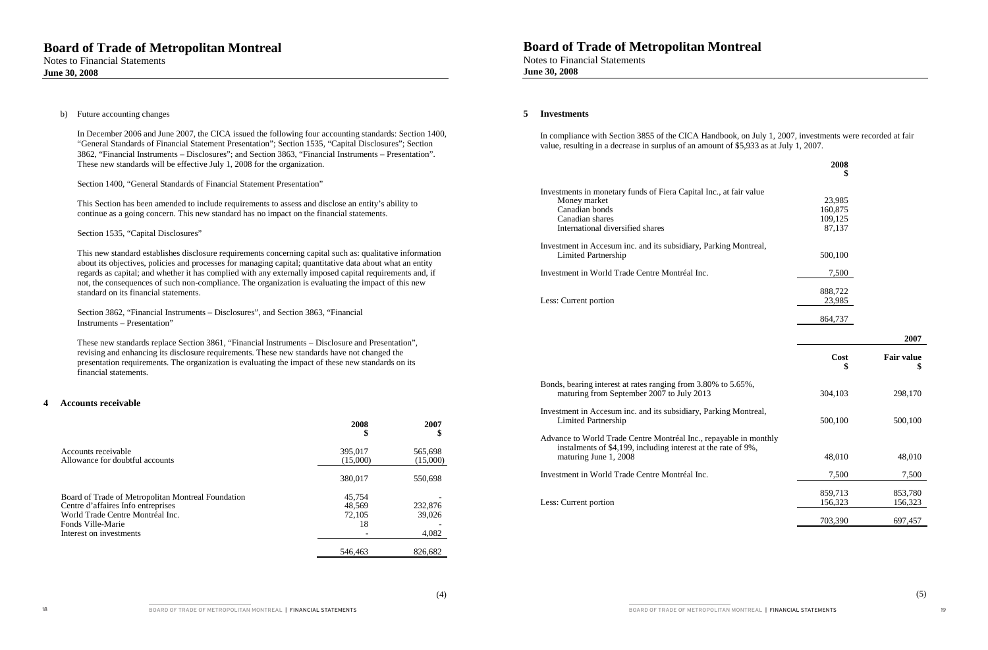b) Future accounting changes

In December 2006 and June 2007, the CICA issued the following four accounting standards: Section 1400, "General Standards of Financial Statement Presentation"; Section 1535, "Capital Disclosures"; Section 3862, "Financial Instruments – Disclosures"; and Section 3863, "Financial Instruments – Presentation". These new standards will be effective July 1, 2008 for the organization.

Section 1400, "General Standards of Financial Statement Presentation"

This Section has been amended to include requirements to assess and disclose an entity's ability to continue as a going concern. This new standard has no impact on the financial statements.

Section 1535, "Capital Disclosures"

This new standard establishes disclosure requirements concerning capital such as: qualitative information about its objectives, policies and processes for managing capital; quantitative data about what an entity regards as capital; and whether it has complied with any externally imposed capital requirements and, if not, the consequences of such non-compliance. The organization is evaluating the impact of this new standard on its financial statements.

Section 3862, "Financial Instruments – Disclosures", and Section 3863, "Financial Instruments – Presentation"

These new standards replace Section 3861, "Financial Instruments – Disclosure and Presentation", revising and enhancing its disclosure requirements. These new standards have not changed the presentation requirements. The organization is evaluating the impact of these new standards on its financial statements.

### **4 Accounts receivable**

|                                                                                                                                                   | 2008<br>\$                       | 2007<br>D           |
|---------------------------------------------------------------------------------------------------------------------------------------------------|----------------------------------|---------------------|
| Accounts receivable<br>Allowance for doubtful accounts                                                                                            | 395,017<br>(15,000)              | 565,698<br>(15,000) |
|                                                                                                                                                   | 380,017                          | 550,698             |
| Board of Trade of Metropolitan Montreal Foundation<br>Centre d'affaires Info entreprises<br>World Trade Centre Montréal Inc.<br>Fonds Ville-Marie | 45,754<br>48,569<br>72,105<br>18 | 232,876<br>39,026   |
| Interest on investments                                                                                                                           |                                  | 4,082               |
|                                                                                                                                                   | 546,463                          | 826,682             |

## **Board of Trade of Metropolitan Montreal**

Notes to Financial Statements **June 30, 2008**

#### **5 Investments**

In compliance with Section 3855 of the CICA Handbook, on July 1, 2007, investments were recorded at fair value, resulting in a decrease in surplus of an amount of \$5,933 as at July 1, 2007.

Investments in monetary funds of Fiera Capital Money market Canadian bonds Canadian shares International diversified shares

Investment in Accesum inc. and its subsidiary, I Limited Partnership

Investment in World Trade Centre Montréal Inc.

Less: Current portion

Bonds, bearing interest at rates ranging from 3.8 maturing from September 2007 to July 201

Investment in Accesum inc. and its subsidiary, Parking Montreal, and  $\overline{P}$ Limited Partnership

Advance to World Trade Centre Montréal Inc., instalments of \$4,199, including interest at maturing June  $1, 2008$ 

Investment in World Trade Centre Montréal Inc.

Less: Current portion

|                                         | 2008<br>\$                             |                         |
|-----------------------------------------|----------------------------------------|-------------------------|
| Inc., at fair value                     | 23,985<br>160,875<br>109,125<br>87,137 |                         |
| Parking Montreal,                       | 500,100                                |                         |
| $\cdot$                                 | 7,500                                  |                         |
|                                         | 888,722<br>23,985                      |                         |
|                                         | 864,737                                |                         |
|                                         |                                        | 2007                    |
|                                         | Cost<br>\$                             | <b>Fair value</b><br>\$ |
| 30% to 5.65%,<br>3                      | 304,103                                | 298,170                 |
|                                         |                                        |                         |
| Parking Montreal,                       | 500,100                                | 500,100                 |
| repayable in monthly<br>the rate of 9%, | 48,010                                 | 48,010                  |
| $\cdot$                                 | 7,500                                  | 7,500                   |
|                                         | 859,713<br>156,323                     | 853,780<br>156,323      |

BOARD OF TRADE OF METROPOLITAN MONTREAL | FINANCIAL STATEMENTS 19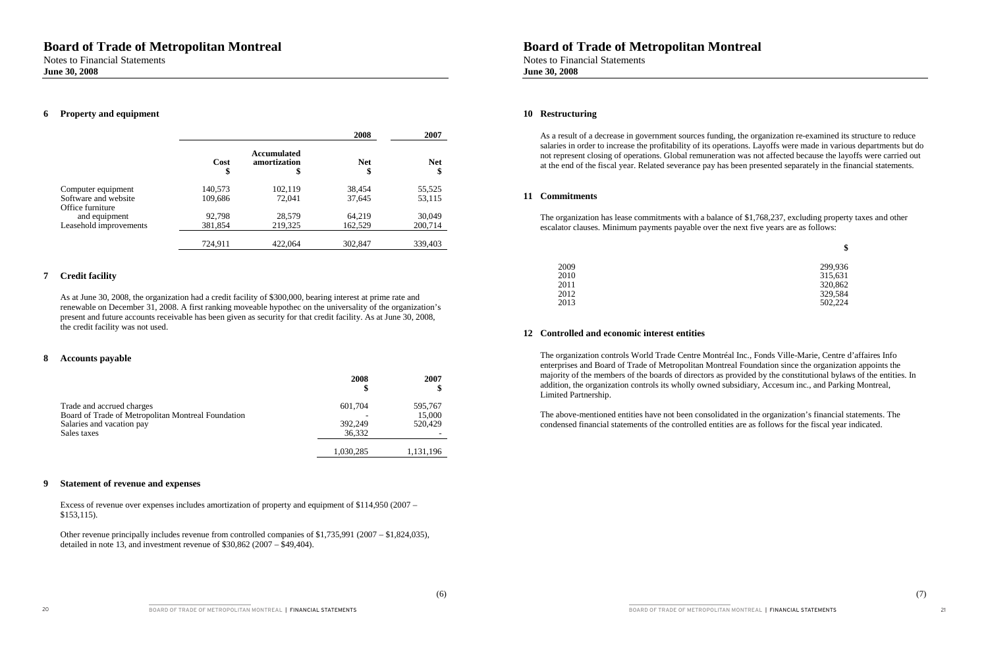## **Board of Trade of Metropolitan Montreal**

Notes to Financial Statements **June 30, 2008**

### **6 Property and equipment**

|                        |            |                                          | 2008             | 2007             |
|------------------------|------------|------------------------------------------|------------------|------------------|
|                        | Cost<br>\$ | <b>Accumulated</b><br>amortization<br>\$ | <b>Net</b><br>\$ | <b>Net</b><br>\$ |
| Computer equipment     | 140,573    | 102,119                                  | 38,454           | 55,525           |
| Software and website   | 109,686    | 72,041                                   | 37,645           | 53,115           |
| Office furniture       |            |                                          |                  |                  |
| and equipment          | 92,798     | 28,579                                   | 64,219           | 30,049           |
| Leasehold improvements | 381,854    | 219,325                                  | 162,529          | 200,714          |
|                        | 724,911    | 422,064                                  | 302,847          | 339,403          |

### **7 Credit facility**

As at June 30, 2008, the organization had a credit facility of \$300,000, bearing interest at prime rate and renewable on December 31, 2008. A first ranking moveable hypothec on the universality of the organization's present and future accounts receivable has been given as security for that credit facility. As at June 30, 2008, the credit facility was not used.

#### **8 Accounts payable**

|                                                                                 | 2008<br>\$ | 2007              |
|---------------------------------------------------------------------------------|------------|-------------------|
| Trade and accrued charges<br>Board of Trade of Metropolitan Montreal Foundation | 601,704    | 595,767<br>15,000 |
| Salaries and vacation pay                                                       | 392,249    | 520,429           |
| Sales taxes                                                                     | 36,332     |                   |
|                                                                                 | 1,030,285  | 1.131.196         |

#### **9 Statement of revenue and expenses**

Excess of revenue over expenses includes amortization of property and equipment of \$114,950 (2007 – \$153,115).

Other revenue principally includes revenue from controlled companies of \$1,735,991 (2007 – \$1,824,035), detailed in note 13, and investment revenue of \$30,862 (2007 – \$49,404).

## **Board of Trade of Metropolitan Montreal**

Notes to Financial Statements **June 30, 2008**

#### **10 Restructuring**

As a result of a decrease in government sources funding, the organization re-examined its structure to reduce salaries in order to increase the profitability of its operations. Layoffs were made in various departments but do not represent closing of operations. Global remuneration was not affected because the layoffs were carried out at the end of the fiscal year. Related severance pay has been presented separately in the financial statements.

#### **11 Commitments**

The organization has lease commitments with a balance of \$1,768,237, excluding property taxes and other escalator clauses. Minimum payments payable over the next five years are as follows:

**\$**

| 2009 | 299,936 |
|------|---------|
| 2010 | 315,631 |
| 2011 | 320,862 |
| 2012 | 329,584 |
| 2013 | 502,224 |

2011 320,862 2012 2012 2013 502,224

### **12 Controlled and economic interest entities**

The organization controls World Trade Centre Montréal Inc., Fonds Ville-Marie, Centre d'affaires Info enterprises and Board of Trade of Metropolitan Montreal Foundation since the organization appoints the majority of the members of the boards of directors as provided by the constitutional bylaws of the entities. In addition, the organization controls its wholly owned subsidiary, Accesum inc., and Parking Montreal, Limited Partnership.

The above-mentioned entities have not been consolidated in the organization's financial statements. The condensed financial statements of the controlled entities are as follows for the fiscal year indicated.

BOARD OF TRADE OF METROPOLITAN MONTREAL | FINANCIAL STATEMENTS 21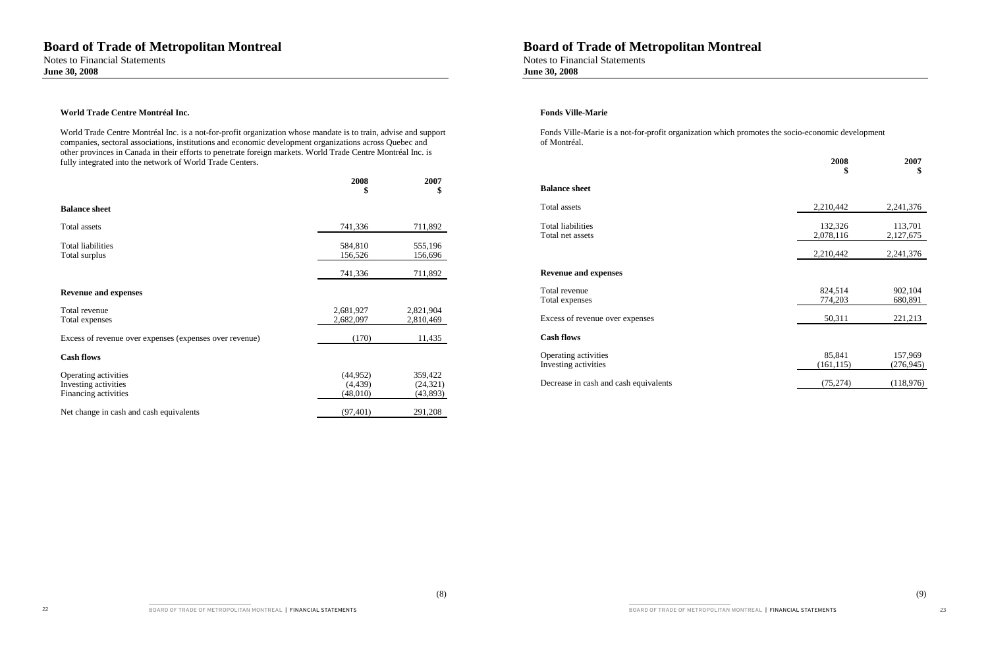#### **World Trade Centre Montréal Inc.**

World Trade Centre Montréal Inc. is a not-for-profit organization whose mandate is to train, advise and support companies, sectoral associations, institutions and economic development organizations across Quebec and other provinces in Canada in their efforts to penetrate foreign markets. World Trade Centre Montréal Inc. is fully integrated into the network of World Trade Centers.

## **Board of Trade of Metropolitan Montreal**

|                                                                      | 2008<br>- 5                      | 2007                             | <b>Balance sheet</b>                         |                      |                       |
|----------------------------------------------------------------------|----------------------------------|----------------------------------|----------------------------------------------|----------------------|-----------------------|
| <b>Balance sheet</b>                                                 |                                  |                                  | Total assets                                 | 2,210,442            | 2,241,376             |
| Total assets                                                         | 741,336                          | 711,892                          | <b>Total liabilities</b><br>Total net assets | 132,326<br>2,078,116 | 113,701<br>2,127,675  |
| Total liabilities<br>Total surplus                                   | 584,810<br>156,526               | 555,196<br>156,696               |                                              | 2,210,442            | 2,241,376             |
|                                                                      | 741,336                          | 711,892                          | <b>Revenue and expenses</b>                  |                      |                       |
| <b>Revenue and expenses</b>                                          |                                  |                                  | Total revenue<br>Total expenses              | 824,514<br>774,203   | 902,104<br>680,891    |
| Total revenue<br>Total expenses                                      | 2,681,927<br>2,682,097           | 2,821,904<br>2,810,469           | Excess of revenue over expenses              | 50,311               | 221,213               |
| Excess of revenue over expenses (expenses over revenue)              | (170)                            | 11,435                           | <b>Cash flows</b>                            |                      |                       |
| <b>Cash flows</b>                                                    |                                  |                                  | Operating activities<br>Investing activities | 85,841<br>(161, 115) | 157,969<br>(276, 945) |
| Operating activities<br>Investing activities<br>Financing activities | (44, 952)<br>(4,439)<br>(48,010) | 359,422<br>(24, 321)<br>(43,893) | Decrease in cash and cash equivalents        | (75, 274)            | (118,976)             |
| Net change in cash and cash equivalents                              | (97, 401)                        | 291,208                          |                                              |                      |                       |

Notes to Financial Statements **June 30, 2008**

#### **Fonds Ville-Marie**

Fonds Ville-Marie is a not-for-profit organization which promotes the socio-economic development of Montréal.

|                                              | 2008<br>\$           | 2007<br>\$            |
|----------------------------------------------|----------------------|-----------------------|
| <b>Balance sheet</b>                         |                      |                       |
| Total assets                                 | 2,210,442            | 2,241,376             |
| Total liabilities<br>Total net assets        | 132,326<br>2,078,116 | 113,701<br>2,127,675  |
|                                              | 2,210,442            | 2,241,376             |
| <b>Revenue and expenses</b>                  |                      |                       |
| Total revenue<br>Total expenses              | 824,514<br>774,203   | 902,104<br>680,891    |
| Excess of revenue over expenses              | 50,311               | 221,213               |
| <b>Cash flows</b>                            |                      |                       |
| Operating activities<br>Investing activities | 85,841<br>(161, 115) | 157,969<br>(276, 945) |
| Decrease in cash and cash equivalents        | (75.274)             | (118.976)             |

BOARD OF TRADE OF METROPOLITAN MONTREAL | FINANCIAL STATEMENTS 23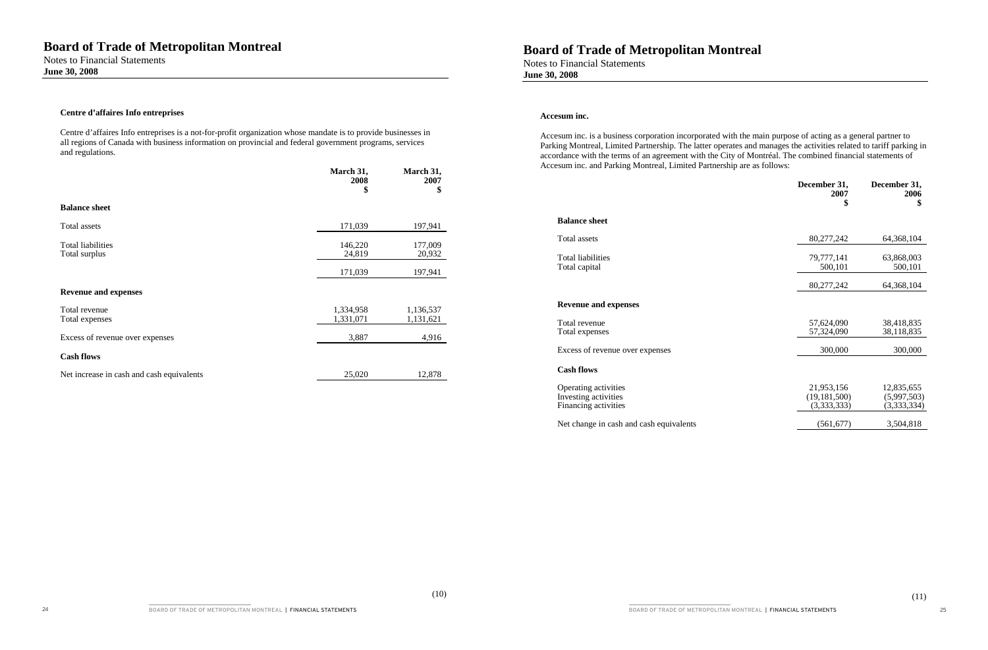#### **Centre d'affaires Info entreprises**

Centre d'affaires Info entreprises is a not-for-profit organization whose mandate is to provide businesses in all regions of Canada with business information on provincial and federal government programs, services and regulations.

Notes to Financial Statements **June 30, 2008**

#### **Accesum inc.**

|                                           | March 31,<br>2008 | March 31,<br>2007<br>- 36 | Accessin me. and I anting montreal, Emmed I anticismp are as follows. | December 31,<br>2007 | December 31,<br>2006 |
|-------------------------------------------|-------------------|---------------------------|-----------------------------------------------------------------------|----------------------|----------------------|
| <b>Balance sheet</b>                      |                   |                           |                                                                       |                      |                      |
| Total assets                              | 171,039           | 197,941                   | <b>Balance sheet</b>                                                  |                      |                      |
| <b>Total liabilities</b>                  | 146,220           | 177,009                   | Total assets                                                          | 80,277,242           | 64,368,104           |
| Total surplus                             | 24,819            | 20,932                    | Total liabilities                                                     | 79,777,141           | 63,868,003           |
|                                           | 171,039           | 197,941                   | Total capital                                                         | 500,101              | 500,101              |
|                                           |                   |                           |                                                                       | 80,277,242           | 64,368,104           |
| <b>Revenue and expenses</b>               |                   |                           |                                                                       |                      |                      |
| Total revenue                             | 1,334,958         | 1,136,537                 | <b>Revenue and expenses</b>                                           |                      |                      |
| Total expenses                            | 1,331,071         | 1,131,621                 | Total revenue                                                         | 57,624,090           | 38,418,835           |
| Excess of revenue over expenses           | 3,887             | 4,916                     | Total expenses                                                        | 57,324,090           | 38,118,835           |
| <b>Cash flows</b>                         |                   |                           | Excess of revenue over expenses                                       | 300,000              | 300,000              |
|                                           |                   |                           |                                                                       |                      |                      |
| Net increase in cash and cash equivalents | 25,020            | 12,878                    | <b>Cash flows</b>                                                     |                      |                      |

Operating activities Investing activities Financing activities

Net change in cash and cash equivalents

Accesum inc. is a business corporation incorporated with the main purpose of acting as a general partner to Parking Montreal, Limited Partnership. The latter operates and manages the activities related to tariff parking in accordance with the terms of an agreement with the City of Montréal. The combined financial statements of Accesum inc. and Parking Montreal, Limited Partnership are as follows:

| December 31,<br>2007<br>\$                  | December 31,<br>2006<br>\$               |
|---------------------------------------------|------------------------------------------|
| 80,277,242                                  | 64,368,104                               |
| 79,777,141<br>500,101                       | 63,868,003<br>500,101                    |
| 80,277,242                                  | 64,368,104                               |
|                                             |                                          |
| 57,624,090<br>57,324,090                    | 38,418,835<br>38,118,835                 |
| 300,000                                     | 300,000                                  |
|                                             |                                          |
| 21,953,156<br>(19, 181, 500)<br>(3,333,333) | 12,835,655<br>(5,997,503)<br>(3,333,334) |
| (561.677)                                   | 3.504.818                                |

BOARD OF TRADE OF METROPOLITAN MONTREAL | FINANCIAL STATEMENTS | 25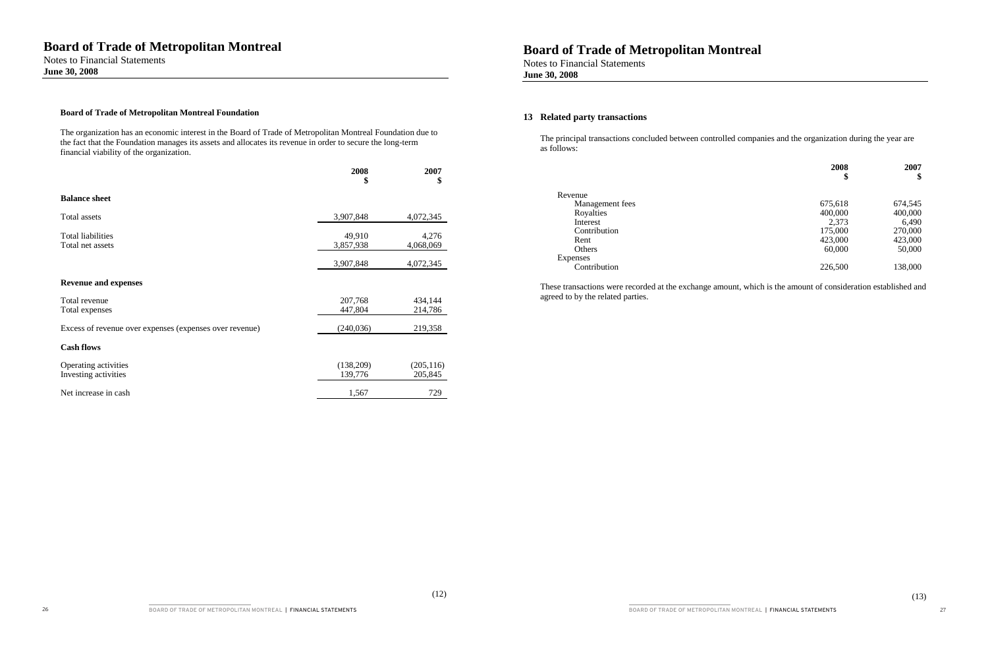(12)

#### **Board of Trade of Metropolitan Montreal Foundation**

The organization has an economic interest in the Board of Trade of Metropolitan Montreal Foundation due to the fact that the Foundation manages its assets and allocates its revenue in order to secure the long-term financial viability of the organization.

|                                                         | 2008<br>\$           | 2007<br>\$            |
|---------------------------------------------------------|----------------------|-----------------------|
| <b>Balance sheet</b>                                    |                      |                       |
| Total assets                                            | 3,907,848            | 4,072,345             |
| <b>Total liabilities</b><br>Total net assets            | 49,910<br>3,857,938  | 4,276<br>4,068,069    |
|                                                         | 3,907,848            | 4,072,345             |
| <b>Revenue and expenses</b>                             |                      |                       |
| Total revenue<br>Total expenses                         | 207,768<br>447,804   | 434,144<br>214,786    |
| Excess of revenue over expenses (expenses over revenue) | (240, 036)           | 219,358               |
| <b>Cash flows</b>                                       |                      |                       |
| Operating activities<br>Investing activities            | (138,209)<br>139,776 | (205, 116)<br>205,845 |
| Net increase in cash                                    | 1,567                | 729                   |

## **Board of Trade of Metropolitan Montreal**

Notes to Financial Statements **June 30, 2008**

### **13 Related party transactions**

The principal transactions concluded between controlled companies and the organization during the year are as follows:

| Revenue         |
|-----------------|
| Management fees |
| Royalties       |
| Interest        |
| Contribution    |
| Rent            |
| Others          |
| <b>Expenses</b> |
| Contribution    |

|                 | 2008    | 2007    |  |
|-----------------|---------|---------|--|
|                 | \$      | \$      |  |
| nue             |         |         |  |
| Management fees | 675,618 | 674,545 |  |
| Royalties       | 400,000 | 400,000 |  |
| Interest        | 2,373   | 6,490   |  |
| Contribution    | 175,000 | 270,000 |  |
| Rent            | 423,000 | 423,000 |  |
| Others          | 60,000  | 50,000  |  |
| nses            |         |         |  |
| Contribution    | 226,500 | 138,000 |  |

These transactions were recorded at the exchange amount, which is the amount of consideration established and

agreed to by the related parties.

BOARD OF TRADE OF METROPOLITAN MONTREAL | FINANCIAL STATEMENTS 27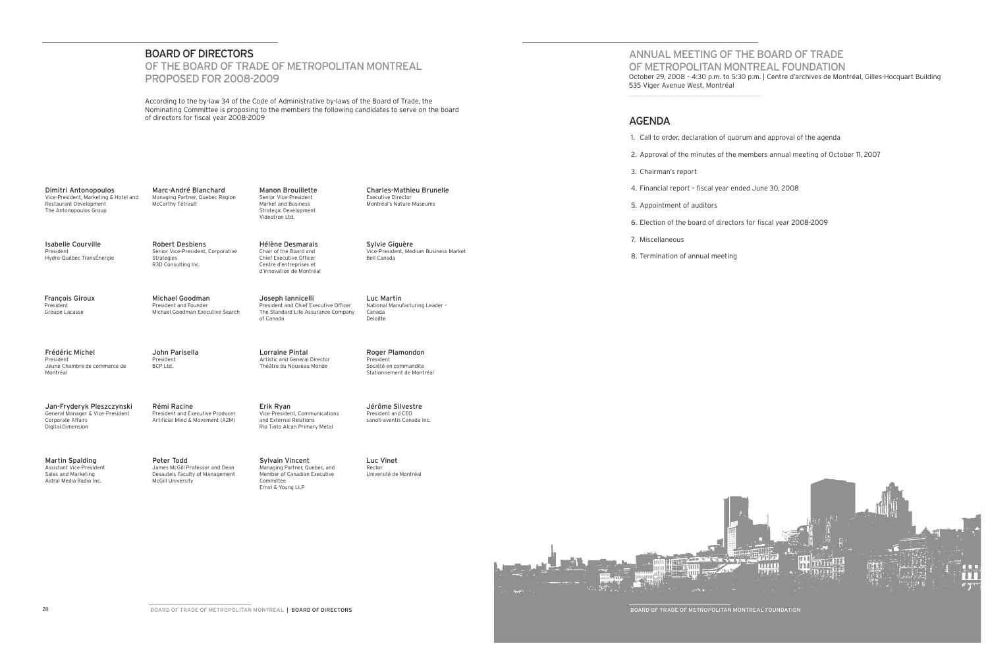## ANNUAL MEETING OF The Board of Trade of MeTROPOLITAN MONTREAL foundation October 29, 2008 – 4:30 p.m. to 5:30 p.m. | Centre d'archives de Montréal, Gilles-Hocquart Building

535 Viger Avenue West, Montréal

### **AGENDA**

1. Call to order, declaration of quorum and approval of the agenda

2. Approval of the minutes of the members annual meeting of October 11, 2007

3. Chairman's report

4. Financial report – fiscal year ended June 30, 2008

5. Appointment of auditors

6. Election of the board of directors for fiscal year 2008-2009

Marc-André Blanchard Managing Partner, Quebec Region McCarthy Tétrault

7. Miscellaneous

8. Termination of annual meeting



Board of Trade Of Metropolitan Montreal Foundation

### BOARD OF DIRECTORS

## OF THE BOARD OF TRADE OF METROPOLITAN MONTREAL Proposed for 2008-2009

According to the by-law 34 of the Code of Administrative by-laws of the Board of Trade, the Nominating Committee is proposing to the members the following candidates to serve on the board of directors for fiscal year 2008-2009

Dimitri Antonopoulos Vice-President, Marketing & Hotel and Restaurant Development The Antonopoulos Group

> Peter Todd James McGill Professor and Dean Desautels Faculty of Management McGill University

Manon Brouillette Senior Vice-President Market and Business Strategic Development Videotron Ltd.

Charles-Mathieu Brunelle Executive Director Montréal's Nature Museums

Frédéric Michel President Jeune Chambre de commerce de Montréal

John Parisella President BCP Ltd.

Lorraine Pintal Artistic and General Director Théâtre du Nouveau Monde

Isabelle Courville President Hydro-Québec TransÉnergie Robert Desbiens Senior Vice-President, Corporative Strategies R3D Consulting Inc.

Hélène Desmarais Chair of the Board and Chief Executive Officer Centre d'entreprises et d'innovation de Montréal

François Giroux President Groupe Lacasse

Michael Goodman President and Founder Michael Goodman Executive Search Joseph Iannicelli

President and Chief Executive Officer The Standard Life Assurance Company

of Canada

Sylvie Giguère Vice-President, Medium Business Market Bell Canada

Roger Plamondon President Société en commandite Stationnement de Montréal

Jan-Fryderyk Pleszczynski General Manager & Vice-President

Corporate Affairs Digital Dimension

Rémi Racine President and Executive Producer Artificial Mind & Movement (A2M) Erik Ryan Vice-President, Communications and External Relations Rio Tinto Alcan Primary Metal

Jérôme Silvestre President and CEO sanofi-aventis Canada Inc.

Martin Spalding Assistant Vice-President Sales and Marketing Astral Media Radio Inc.

Luc Vinet Rector Université de Montréal

Luc Martin National Manufacturing Leader – Canada Deloitte

Sylvain Vincent Managing Partner, Quebec, and Member of Canadian Executive Committee Ernst & Young LLP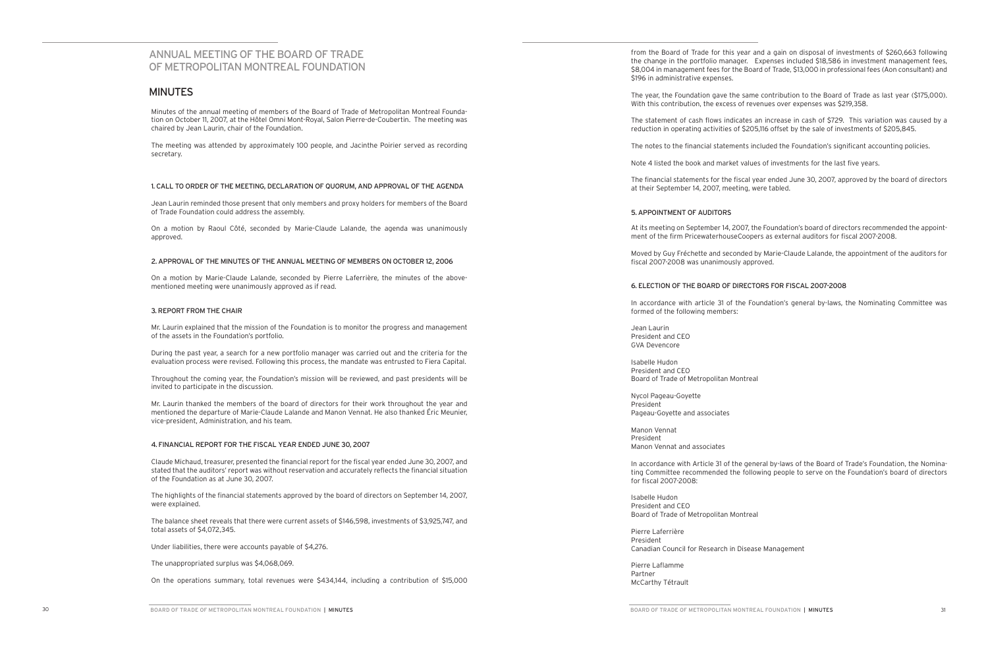## ANNUAL MEETING OF The Board of Trade of MeTROPOLITAN MONTREAL FOUNDATION

### **MINUTES**

Minutes of the annual meeting of members of the Board of Trade of Metropolitan Montreal Foundation on October 11, 2007, at the Hôtel Omni Mont-Royal, Salon Pierre-de-Coubertin. The meeting was chaired by Jean Laurin, chair of the Foundation.

The meeting was attended by approximately 100 people, and Jacinthe Poirier served as recording secretary.

#### 1. CALL TO ORDER OF THE MEETING, DECLARATION OF QUORUM, AND APPROVAL OF THE AGENDA

Jean Laurin reminded those present that only members and proxy holders for members of the Board of Trade Foundation could address the assembly.

On a motion by Raoul Côté, seconded by Marie-Claude Lalande, the agenda was unanimously approved.

#### 2. APPROVAL OF THE MINUTES OF THE ANNUAL MEETING OF MEMBERS ON OCTOBER 12, 2006

On a motion by Marie-Claude Lalande, seconded by Pierre Laferrière, the minutes of the abovementioned meeting were unanimously approved as if read.

#### 3. REPORT FROM THE CHAIR

Mr. Laurin explained that the mission of the Foundation is to monitor the progress and management of the assets in the Foundation's portfolio.

During the past year, a search for a new portfolio manager was carried out and the criteria for the evaluation process were revised. Following this process, the mandate was entrusted to Fiera Capital.

Throughout the coming year, the Foundation's mission will be reviewed, and past presidents will be invited to participate in the discussion.

Mr. Laurin thanked the members of the board of directors for their work throughout the year and mentioned the departure of Marie-Claude Lalande and Manon Vennat. He also thanked Éric Meunier, vice-president, Administration, and his team.

#### 4. FINANCIAL REPORT FOR THE FISCAL YEAR ENDED JUNE 30, 2007

Claude Michaud, treasurer, presented the financial report for the fiscal year ended June 30, 2007, and stated that the auditors' report was without reservation and accurately reflects the financial situation of the Foundation as at June 30, 2007.

The highlights of the financial statements approved by the board of directors on September 14, 2007, were explained.

The balance sheet reveals that there were current assets of \$146,598, investments of \$3,925,747, and total assets of \$4,072,345.

Under liabilities, there were accounts payable of \$4,276.

The unappropriated surplus was \$4,068,069.

On the operations summary, total revenues were \$434,144, including a contribution of \$15,000

\$196 in administrative expenses.

- from the Board of Trade for this year and a gain on disposal of investments of \$260,663 following the change in the portfolio manager. Expenses included \$18,586 in investment management fees, \$8,004 in management fees for the Board of Trade, \$13,000 in professional fees (Aon consultant) and
- The year, the Foundation gave the same contribution to the Board of Trade as last year (\$175,000). With this contribution, the excess of revenues over expenses was \$219,358.
- The statement of cash flows indicates an increase in cash of \$729. This variation was caused by a reduction in operating activities of \$205,116 offset by the sale of investments of \$205,845.
- The notes to the financial statements included the Foundation's significant accounting policies.
- Note 4 listed the book and market values of investments for the last five years.
- The financial statements for the fiscal year ended June 30, 2007, approved by the board of directors at their September 14, 2007, meeting, were tabled.

#### 5. APPOINTMENT OF AUDITORS

- At its meeting on September 14, 2007, the Foundation's board of directors recommended the appointment of the firm PricewaterhouseCoopers as external auditors for fiscal 2007-2008.
- Moved by Guy Fréchette and seconded by Marie-Claude Lalande, the appointment of the auditors for
- In accordance with article 31 of the Foundation's general by-laws, the Nominating Committee was

fiscal 2007-2008 was unanimously approved.

#### 6. ELECTION OF THE BOARD OF DIRECTORS FOR FISCAL 2007-2008

formed of the following members:

Jean Laurin President and CEO GVA Devencore

Isabelle Hudon President and CEO Board of Trade of Metropolitan Montreal

Nycol Pageau-Goyette President Pageau-Goyette and associates

Manon Vennat President Manon Vennat and associates

In accordance with Article 31 of the general by-laws of the Board of Trade's Foundation, the Nominating Committee recommended the following people to serve on the Foundation's board of directors

for fiscal 2007-2008:

Isabelle Hudon President and CEO Board of Trade of Metropolitan Montreal

Pierre Laferrière President

Canadian Council for Research in Disease Management

Pierre Laflamme Partner McCarthy Tétrault

BOARD OF TRADE OF METROPOLITAN MONTREAL FOUNDATION | MINUTES 31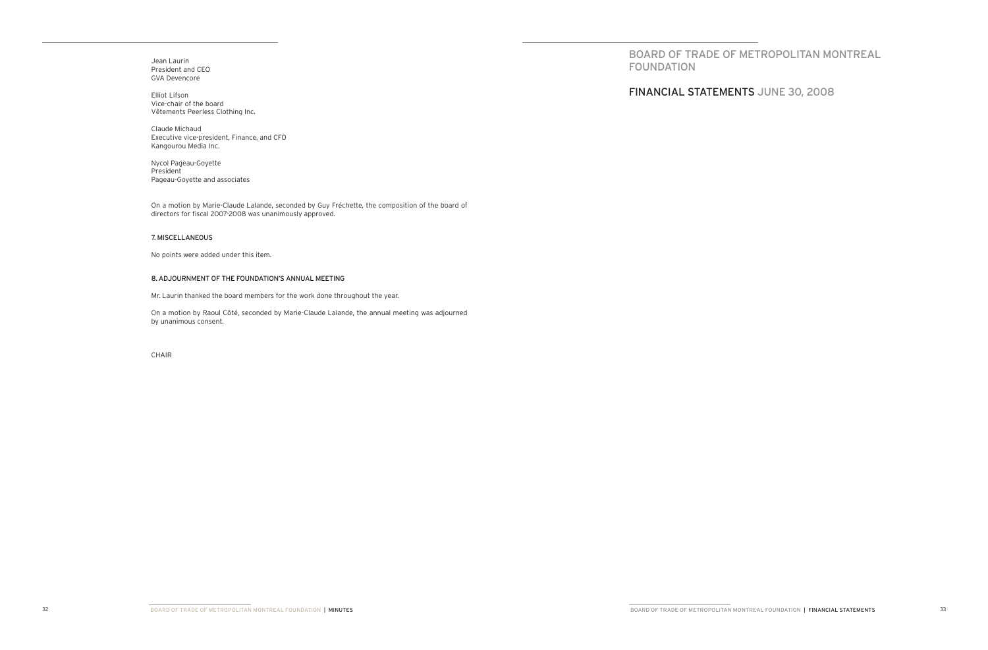Jean Laurin President and CEO GVA Devencore

Elliot Lifson Vice-chair of the board Vêtements Peerless Clothing Inc.

Claude Michaud Executive vice-president, Finance, and CFO Kangourou Media Inc.

Nycol Pageau-Goyette President Pageau-Goyette and associates

On a motion by Marie-Claude Lalande, seconded by Guy Fréchette, the composition of the board of directors for fiscal 2007-2008 was unanimously approved.

#### 7. MISCELLANEOUS

No points were added under this item.

#### 8. ADJOURNMENT OF THE FOUNDATION'S ANNUAL MEETING

Mr. Laurin thanked the board members for the work done throughout the year.

On a motion by Raoul Côté, seconded by Marie-Claude Lalande, the annual meeting was adjourned by unanimous consent.

CHAIR

BOARD OF TRADE OF METROPOLITAN MONTREAL

FOUNDATION

financIAL STATEMENTS june 30, 2008

BOARD OF TRADE OF METROPOLITAN MONTREAL FOUNDATION | FINANCIAL STATEMENTS 33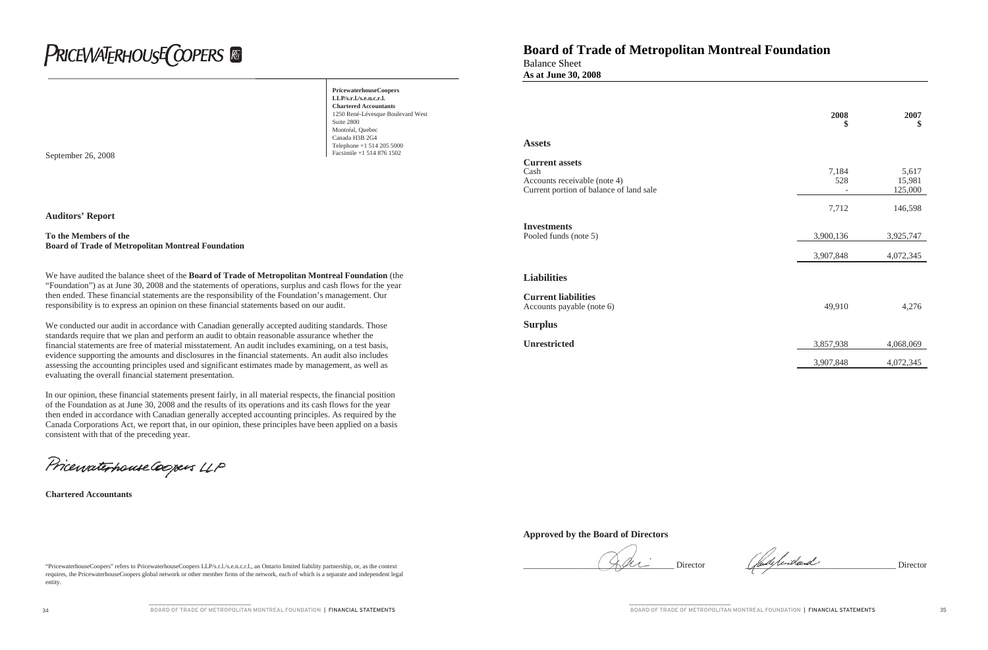# **PRICEWATERHOUSE COPERS**

**PricewaterhouseCoopers LLP/s.r.l./s.e.n.c.r.l. Chartered Accountants** 1250 René-Lévesque Boulevard West Suite 2800 Montréal, Quebec Canada H3B 2G4 Telephone +1 514 205 5000<br>Facsimile +1 514 876 1502

September 26, 2008

"PricewaterhouseCoopers" refers to PricewaterhouseCoopers LLP/s.r.l./s.e.n.c.r.l., an Ontario limited liability partnership, or, as the context requires, the PricewaterhouseCoopers global network or other member firms of the network, each of which is a separate and independent legal entity.

**Auditors' Report**

#### **To the Members of the Board of Trade of Metropolitan Montreal Foundation**

We have audited the balance sheet of the **Board of Trade of Metropolitan Montreal Foundation** (the "Foundation") as at June 30, 2008 and the statements of operations, surplus and cash flows for the year then ended. These financial statements are the responsibility of the Foundation's management. Our responsibility is to express an opinion on these financial statements based on our audit.

We conducted our audit in accordance with Canadian generally accepted auditing standards. Those standards require that we plan and perform an audit to obtain reasonable assurance whether the financial statements are free of material misstatement. An audit includes examining, on a test basis, evidence supporting the amounts and disclosures in the financial statements. An audit also includes assessing the accounting principles used and significant estimates made by management, as well as evaluating the overall financial statement presentation.

In our opinion, these financial statements present fairly, in all material respects, the financial position of the Foundation as at June 30, 2008 and the results of its operations and its cash flows for the year then ended in accordance with Canadian generally accepted accounting principles. As required by the Canada Corporations Act, we report that, in our opinion, these principles have been applied on a basis consistent with that of the preceding year.

Pricewaterhouse Coopers LLP

**Chartered Accountants**

## **Board of Trade of Metropolitan Montreal Foundation**

Balance Sheet **As at June 30, 2008**

### **Approved by the Board of Directors**

|                                                                                                          | 2008<br>\$   | 2007<br>\$                 |
|----------------------------------------------------------------------------------------------------------|--------------|----------------------------|
| <b>Assets</b>                                                                                            |              |                            |
| <b>Current assets</b><br>Cash<br>Accounts receivable (note 4)<br>Current portion of balance of land sale | 7,184<br>528 | 5,617<br>15,981<br>125,000 |
|                                                                                                          | 7,712        | 146,598                    |
| <b>Investments</b><br>Pooled funds (note 5)                                                              | 3,900,136    | 3,925,747                  |
|                                                                                                          | 3,907,848    | 4,072,345                  |
| <b>Liabilities</b>                                                                                       |              |                            |
| <b>Current liabilities</b><br>Accounts payable (note 6)                                                  | 49,910       | 4,276                      |
| <b>Surplus</b>                                                                                           |              |                            |
| <b>Unrestricted</b>                                                                                      | 3,857,938    | 4,068,069                  |
|                                                                                                          | 3,907,848    | 4,072,345                  |

Director (fulled Director

#### **Liabilities**

**Surplus**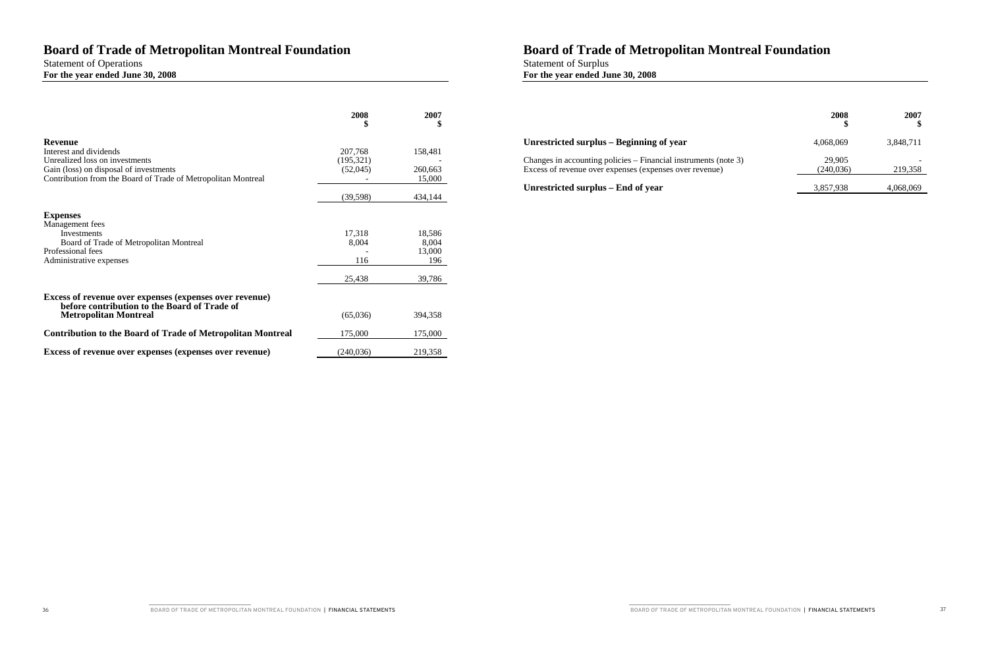## **Board of Trade of Metropolitan Montreal Foundation**

## Statement of Operations **For the year ended June 30, 2008**

|                                                                              | 2008            | 2007<br>\$      |
|------------------------------------------------------------------------------|-----------------|-----------------|
| <b>Revenue</b><br>Interest and dividends                                     | 207,768         | 158,481         |
| Unrealized loss on investments                                               | (195, 321)      |                 |
| Gain (loss) on disposal of investments                                       | (52,045)        | 260,663         |
| Contribution from the Board of Trade of Metropolitan Montreal                |                 | 15,000          |
|                                                                              | (39, 598)       | 434,144         |
|                                                                              |                 |                 |
| <b>Expenses</b>                                                              |                 |                 |
| Management fees                                                              |                 |                 |
| Investments<br>Board of Trade of Metropolitan Montreal                       | 17,318<br>8,004 | 18,586<br>8,004 |
| Professional fees                                                            |                 | 13,000          |
| Administrative expenses                                                      | 116             | 196             |
|                                                                              |                 |                 |
|                                                                              | 25,438          | 39,786          |
| Excess of revenue over expenses (expenses over revenue)                      |                 |                 |
| before contribution to the Board of Trade of<br><b>Metropolitan Montreal</b> | (65,036)        | 394,358         |
| <b>Contribution to the Board of Trade of Metropolitan Montreal</b>           | 175,000         | 175,000         |
| Excess of revenue over expenses (expenses over revenue)                      | (240, 036)      | 219,358         |
|                                                                              |                 |                 |

## **Unrestricted surplus – Beginning of year**

Changes in accounting policies – Financial instrumer Excess of revenue over expenses (expenses over reve

### Unrestricted surplus – End of year

**BOARD OF TRADE OF METROPOLITAN MONTREAL FOUNDATION | FINANCIAL STATEMENTS** 

## **Board of Trade of Metropolitan Montreal Foundation**

Statement of Surplus **For the year ended June 30, 2008**

|                       | 2008<br>\$           | 2007<br>\$ |
|-----------------------|----------------------|------------|
|                       | 4,068,069            | 3,848,711  |
| nts (note 3)<br>enue) | 29,905<br>(240, 036) | 219,358    |
|                       | 3,857,938            | 4,068,069  |

BOARD OF TRADE OF METROPOLITAN MONTREAL FOUNDATION | FINANCIAL STATEMENTS 37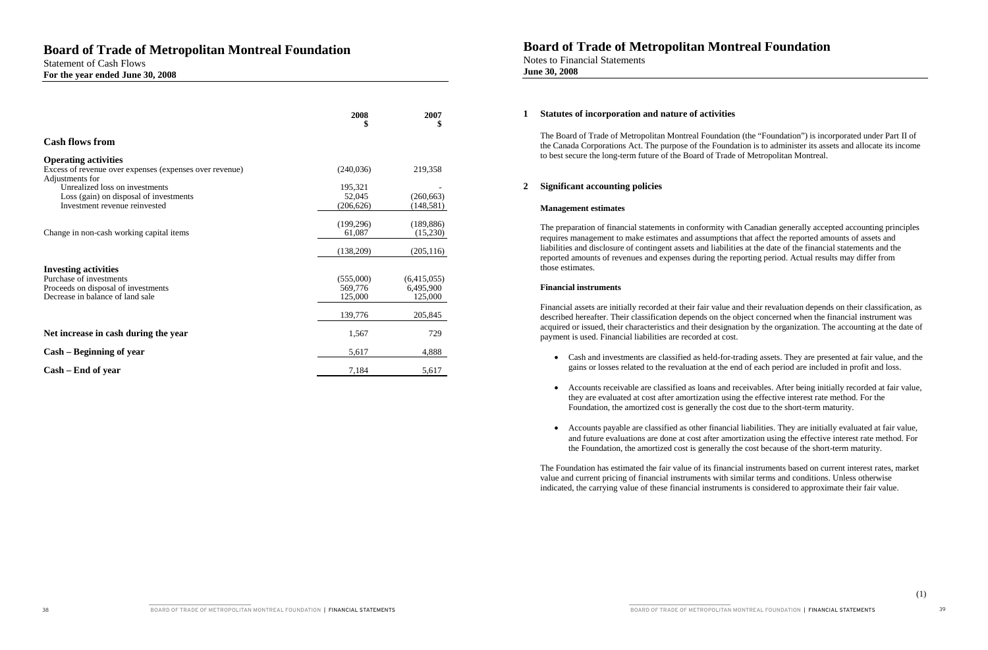|                                                                            | 2008<br>\$ | 2007<br>\$  |
|----------------------------------------------------------------------------|------------|-------------|
| <b>Cash flows from</b>                                                     |            |             |
| <b>Operating activities</b>                                                |            |             |
| Excess of revenue over expenses (expenses over revenue)<br>Adjustments for | (240,036)  | 219,358     |
| Unrealized loss on investments                                             | 195,321    |             |
| Loss (gain) on disposal of investments                                     | 52,045     | (260, 663)  |
| Investment revenue reinvested                                              | (206, 626) | (148,581)   |
|                                                                            |            |             |
|                                                                            | (199,296)  | (189, 886)  |
| Change in non-cash working capital items                                   | 61,087     | (15,230)    |
|                                                                            | (138,209)  | (205, 116)  |
|                                                                            |            |             |
| <b>Investing activities</b><br>Purchase of investments                     | (555,000)  | (6,415,055) |
| Proceeds on disposal of investments                                        | 569,776    | 6,495,900   |
| Decrease in balance of land sale                                           | 125,000    | 125,000     |
|                                                                            |            |             |
|                                                                            | 139,776    | 205,845     |
| Net increase in cash during the year                                       | 1,567      | 729         |
| Cash – Beginning of year                                                   | 5,617      | 4,888       |
| Cash – End of year                                                         | 7,184      | 5,617       |

## **Board of Trade of Metropolitan Montreal Foundation**

Notes to Financial Statements **June 30, 2008**

#### **1 Statutes of incorporation and nature of activities**

The Board of Trade of Metropolitan Montreal Foundation (the "Foundation") is incorporated under Part II of the Canada Corporations Act. The purpose of the Foundation is to administer its assets and allocate its income to best secure the long-term future of the Board of Trade of Metropolitan Montreal.

• Cash and investments are classified as held-for-trading assets. They are presented at fair value, and the gains or losses related to the revaluation at the end of each period are included in profit and loss.

• Accounts receivable are classified as loans and receivables. After being initially recorded at fair value, they are evaluated at cost after amortization using the effective interest rate method. For the Foundation, the amortized cost is generally the cost due to the short-term maturity.

### **2 Significant accounting policies**

#### **Management estimates**

• Accounts payable are classified as other financial liabilities. They are initially evaluated at fair value, and future evaluations are done at cost after amortization using the effective interest rate method. For the Foundation, the amortized cost is generally the cost because of the short-term maturity.

The preparation of financial statements in conformity with Canadian generally accepted accounting principles requires management to make estimates and assumptions that affect the reported amounts of assets and liabilities and disclosure of contingent assets and liabilities at the date of the financial statements and the reported amounts of revenues and expenses during the reporting period. Actual results may differ from those estimates.

#### **Financial instruments**

Financial assets are initially recorded at their fair value and their revaluation depends on their classification, as described hereafter. Their classification depends on the object concerned when the financial instrument was acquired or issued, their characteristics and their designation by the organization. The accounting at the date of payment is used. Financial liabilities are recorded at cost.

- 
- 
- 

The Foundation has estimated the fair value of its financial instruments based on current interest rates, market value and current pricing of financial instruments with similar terms and conditions. Unless otherwise indicated, the carrying value of these financial instruments is considered to approximate their fair value.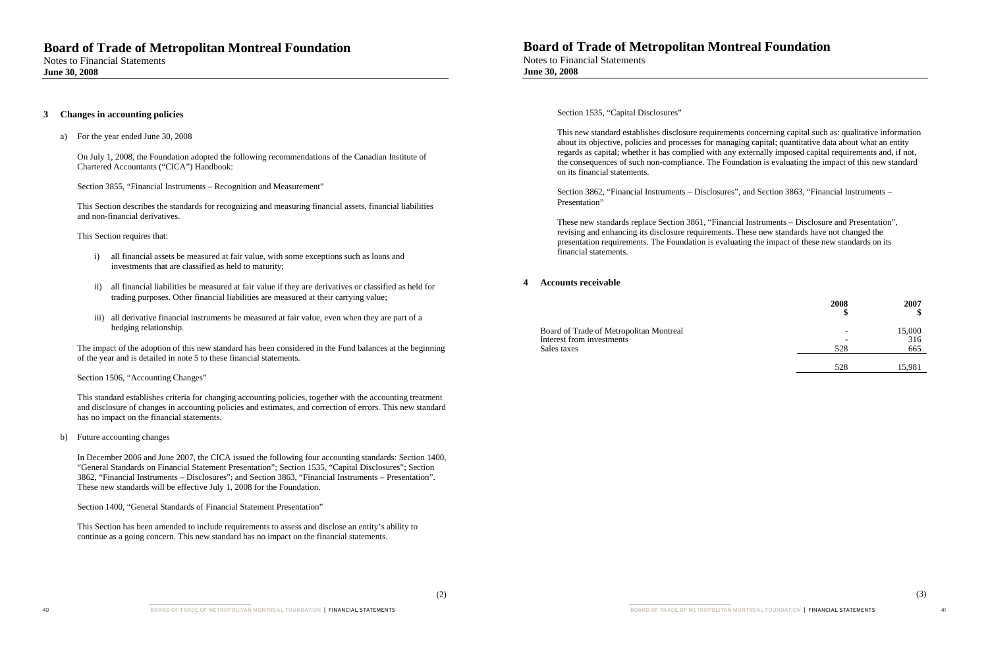#### **3 Changes in accounting policies**

a) For the year ended June 30, 2008

On July 1, 2008, the Foundation adopted the following recommendations of the Canadian Institute of Chartered Accountants ("CICA") Handbook:

Section 3855, "Financial Instruments – Recognition and Measurement"

This Section describes the standards for recognizing and measuring financial assets, financial liabilities and non-financial derivatives.

This Section requires that:

- i) all financial assets be measured at fair value, with some exceptions such as loans and investments that are classified as held to maturity;
- ii) all financial liabilities be measured at fair value if they are derivatives or classified as held for trading purposes. Other financial liabilities are measured at their carrying value;
- iii) all derivative financial instruments be measured at fair value, even when they are part of a hedging relationship.

The impact of the adoption of this new standard has been considered in the Fund balances at the beginning of the year and is detailed in note 5 to these financial statements.

Section 1506, "Accounting Changes"

This standard establishes criteria for changing accounting policies, together with the accounting treatment and disclosure of changes in accounting policies and estimates, and correction of errors. This new standard has no impact on the financial statements.

b) Future accounting changes

In December 2006 and June 2007, the CICA issued the following four accounting standards: Section 1400, "General Standards on Financial Statement Presentation"; Section 1535, "Capital Disclosures"; Section 3862, "Financial Instruments – Disclosures"; and Section 3863, "Financial Instruments – Presentation". These new standards will be effective July 1, 2008 for the Foundation.

Section 1400, "General Standards of Financial Statement Presentation"

This Section has been amended to include requirements to assess and disclose an entity's ability to continue as a going concern. This new standard has no impact on the financial statements.

## **Board of Trade of Metropolitan Montreal Foundation**

Notes to Financial Statements **June 30, 2008**

Section 1535, "Capital Disclosures"

This new standard establishes disclosure requirements concerning capital such as: qualitative information about its objective, policies and processes for managing capital; quantitative data about what an entity regards as capital; whether it has complied with any externally imposed capital requirements and, if not, the consequences of such non-compliance. The Foundation is evaluating the impact of this new standard on its financial statements.

Section 3862, "Financial Instruments – Disclosures", and Section 3863, "Financial Instruments – Presentation"

These new standards replace Section 3861, "Financial Instruments – Disclosure and Presentation", revising and enhancing its disclosure requirements. These new standards have not changed the presentation requirements. The Foundation is evaluating the impact of these new standards on its financial statements.

### **4 Accounts receivable**

Board of Trade of Metropolitan Montreal Interest from investments Sales taxes 665

| 2007<br>\$ | 2008<br>\$ |
|------------|------------|
| 15,000     |            |
| 316        |            |
| 665        | 528        |
|            |            |
| 15,981     | 528        |

BOARD OF TRADE OF METROPOLITAN MONTREAL FOUNDATION | FINANCIAL STATEMENTS 41